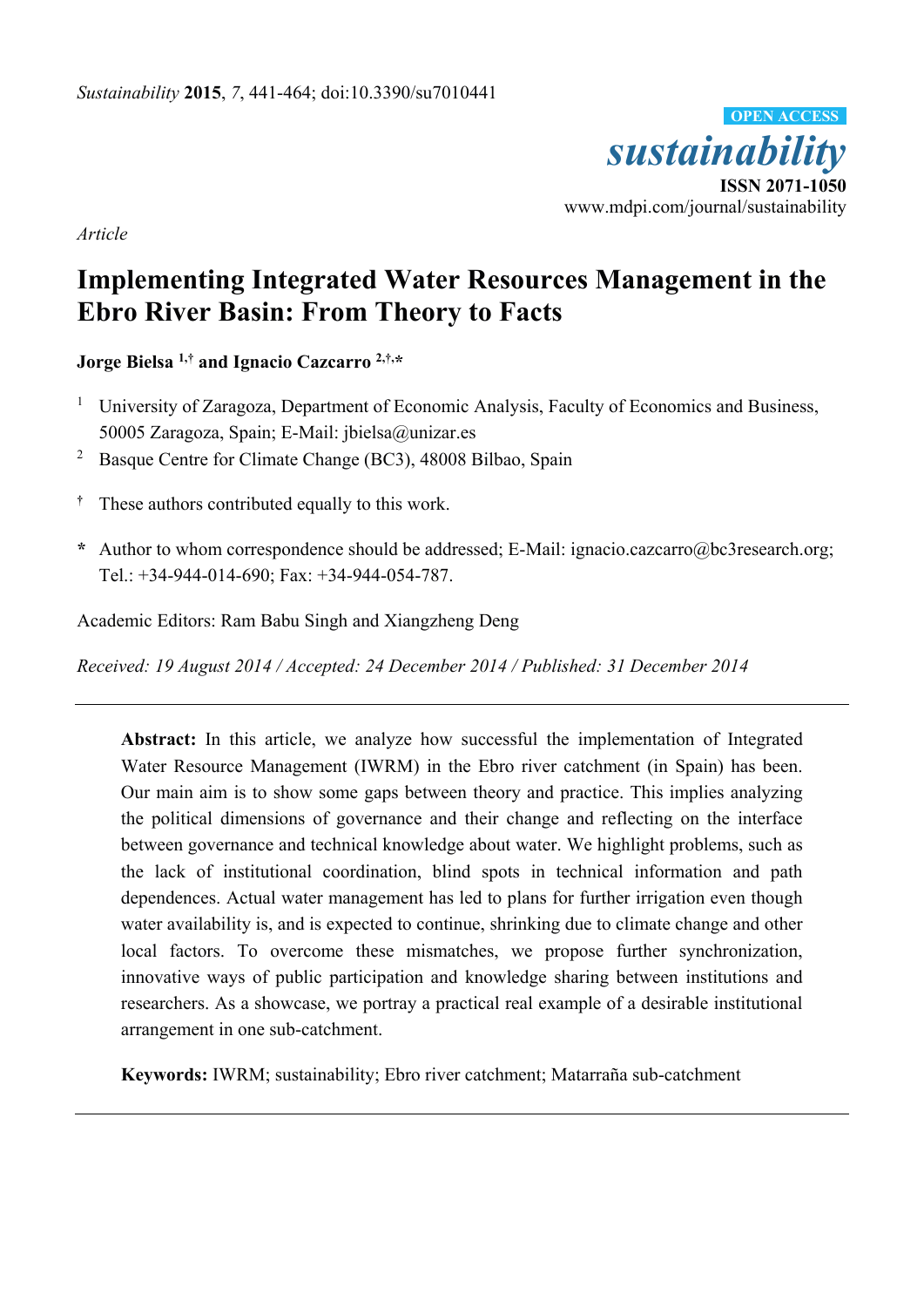

*Article* 

# **Implementing Integrated Water Resources Management in the Ebro River Basin: From Theory to Facts**

**Jorge Bielsa 1,† and Ignacio Cazcarro 2,†,\*** 

- <sup>1</sup> University of Zaragoza, Department of Economic Analysis, Faculty of Economics and Business, 50005 Zaragoza, Spain; E-Mail: jbielsa@unizar.es
- <sup>2</sup> Basque Centre for Climate Change (BC3), 48008 Bilbao, Spain
- **†** These authors contributed equally to this work.
- **\*** Author to whom correspondence should be addressed; E-Mail: ignacio.cazcarro@bc3research.org; Tel.: +34-944-014-690; Fax: +34-944-054-787.

Academic Editors: Ram Babu Singh and Xiangzheng Deng

*Received: 19 August 2014 / Accepted: 24 December 2014 / Published: 31 December 2014* 

**Abstract:** In this article, we analyze how successful the implementation of Integrated Water Resource Management (IWRM) in the Ebro river catchment (in Spain) has been. Our main aim is to show some gaps between theory and practice. This implies analyzing the political dimensions of governance and their change and reflecting on the interface between governance and technical knowledge about water. We highlight problems, such as the lack of institutional coordination, blind spots in technical information and path dependences. Actual water management has led to plans for further irrigation even though water availability is, and is expected to continue, shrinking due to climate change and other local factors. To overcome these mismatches, we propose further synchronization, innovative ways of public participation and knowledge sharing between institutions and researchers. As a showcase, we portray a practical real example of a desirable institutional arrangement in one sub-catchment.

**Keywords:** IWRM; sustainability; Ebro river catchment; Matarraña sub-catchment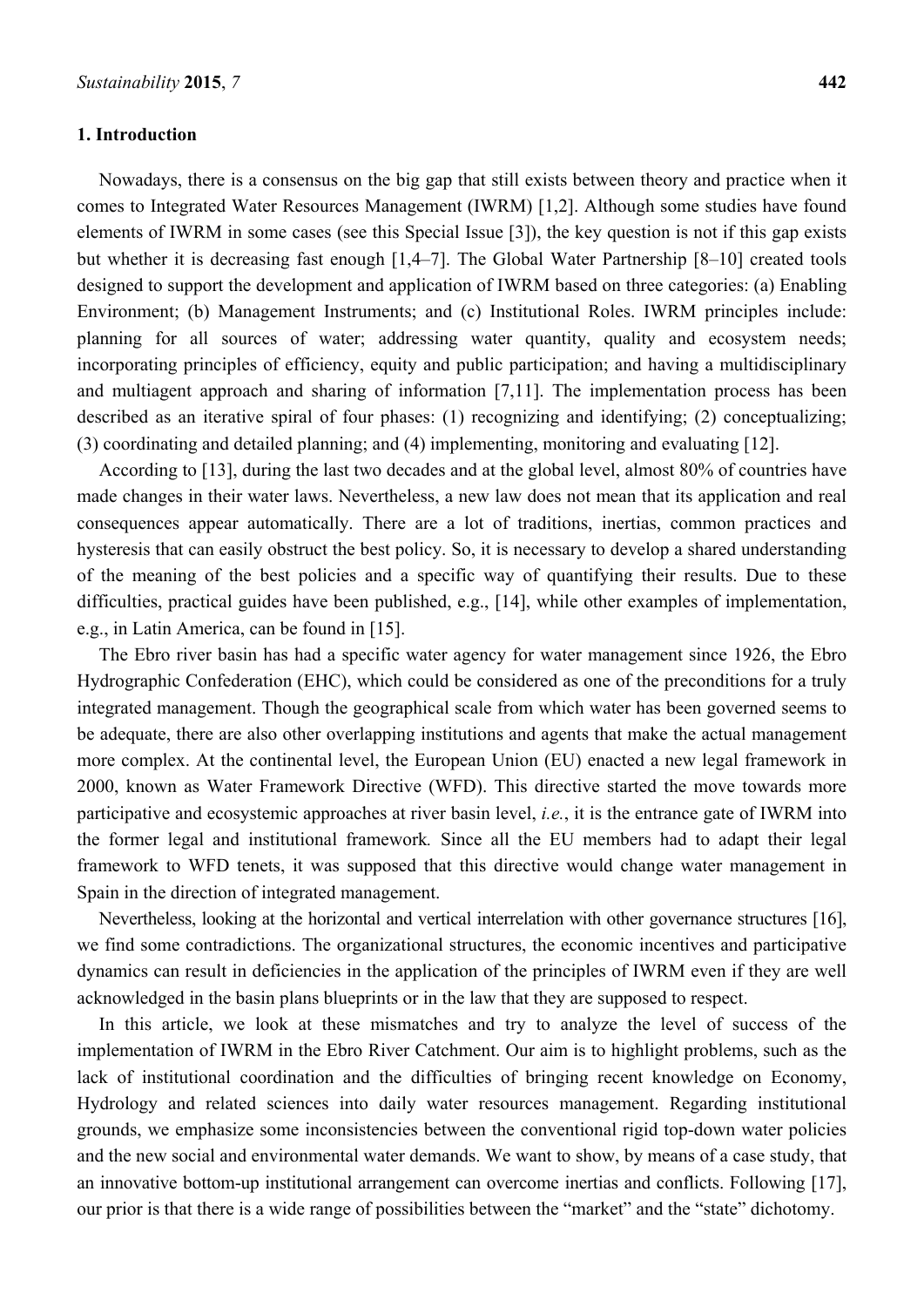#### **1. Introduction**

Nowadays, there is a consensus on the big gap that still exists between theory and practice when it comes to Integrated Water Resources Management (IWRM) [1,2]. Although some studies have found elements of IWRM in some cases (see this Special Issue [3]), the key question is not if this gap exists but whether it is decreasing fast enough [1,4–7]. The Global Water Partnership [8–10] created tools designed to support the development and application of IWRM based on three categories: (a) Enabling Environment; (b) Management Instruments; and (c) Institutional Roles. IWRM principles include: planning for all sources of water; addressing water quantity, quality and ecosystem needs; incorporating principles of efficiency, equity and public participation; and having a multidisciplinary and multiagent approach and sharing of information [7,11]. The implementation process has been described as an iterative spiral of four phases: (1) recognizing and identifying; (2) conceptualizing; (3) coordinating and detailed planning; and (4) implementing, monitoring and evaluating [12].

According to [13], during the last two decades and at the global level, almost 80% of countries have made changes in their water laws. Nevertheless, a new law does not mean that its application and real consequences appear automatically. There are a lot of traditions, inertias, common practices and hysteresis that can easily obstruct the best policy. So, it is necessary to develop a shared understanding of the meaning of the best policies and a specific way of quantifying their results. Due to these difficulties, practical guides have been published, e.g., [14], while other examples of implementation, e.g., in Latin America, can be found in [15].

The Ebro river basin has had a specific water agency for water management since 1926, the Ebro Hydrographic Confederation (EHC), which could be considered as one of the preconditions for a truly integrated management. Though the geographical scale from which water has been governed seems to be adequate, there are also other overlapping institutions and agents that make the actual management more complex. At the continental level, the European Union (EU) enacted a new legal framework in 2000, known as Water Framework Directive (WFD). This directive started the move towards more participative and ecosystemic approaches at river basin level, *i.e.*, it is the entrance gate of IWRM into the former legal and institutional framework*.* Since all the EU members had to adapt their legal framework to WFD tenets, it was supposed that this directive would change water management in Spain in the direction of integrated management.

Nevertheless, looking at the horizontal and vertical interrelation with other governance structures [16], we find some contradictions. The organizational structures, the economic incentives and participative dynamics can result in deficiencies in the application of the principles of IWRM even if they are well acknowledged in the basin plans blueprints or in the law that they are supposed to respect.

In this article, we look at these mismatches and try to analyze the level of success of the implementation of IWRM in the Ebro River Catchment. Our aim is to highlight problems, such as the lack of institutional coordination and the difficulties of bringing recent knowledge on Economy, Hydrology and related sciences into daily water resources management. Regarding institutional grounds, we emphasize some inconsistencies between the conventional rigid top-down water policies and the new social and environmental water demands. We want to show, by means of a case study, that an innovative bottom-up institutional arrangement can overcome inertias and conflicts. Following [17], our prior is that there is a wide range of possibilities between the "market" and the "state" dichotomy.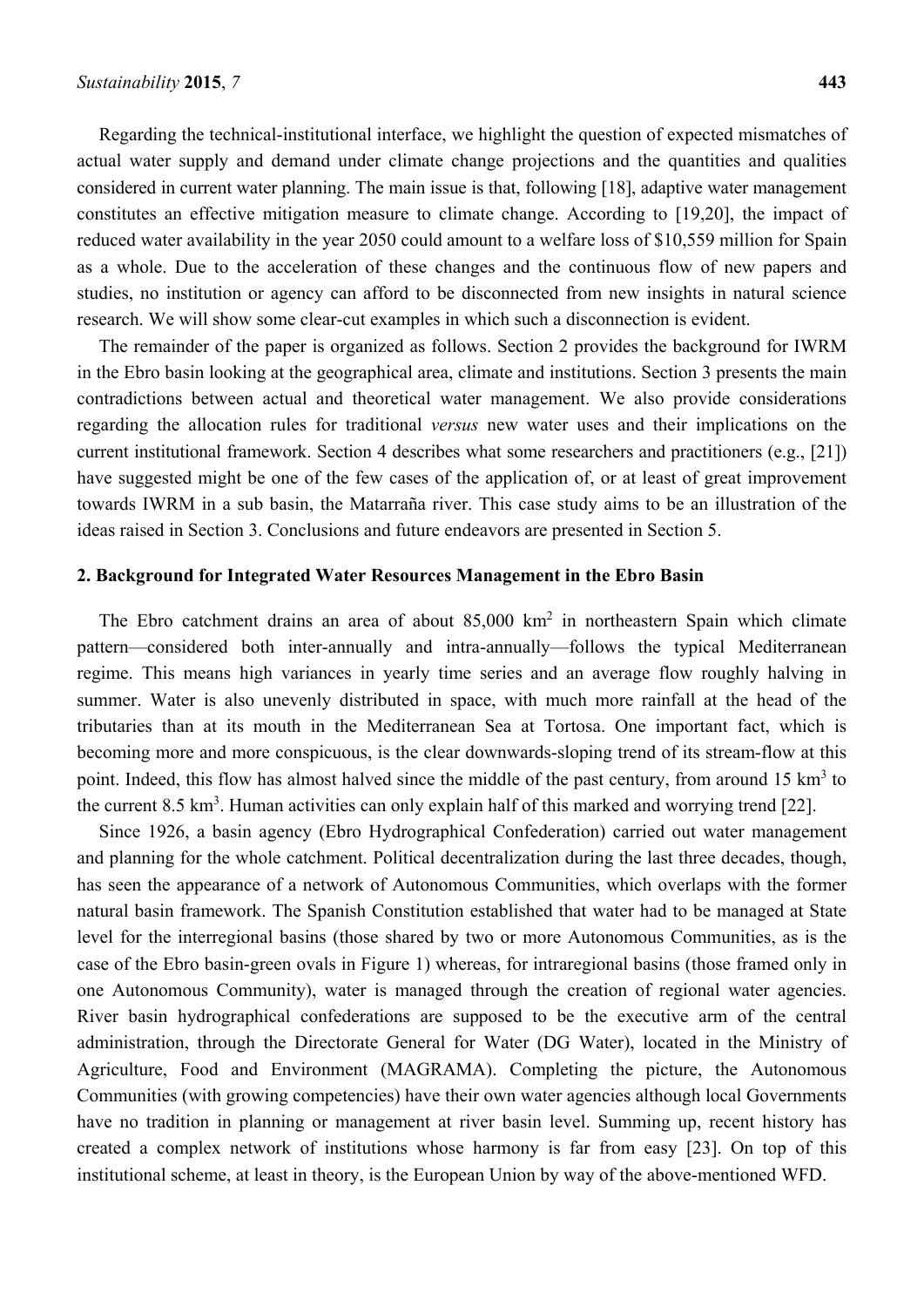Regarding the technical-institutional interface, we highlight the question of expected mismatches of actual water supply and demand under climate change projections and the quantities and qualities considered in current water planning. The main issue is that, following [18], adaptive water management constitutes an effective mitigation measure to climate change. According to [19,20], the impact of reduced water availability in the year 2050 could amount to a welfare loss of \$10,559 million for Spain as a whole. Due to the acceleration of these changes and the continuous flow of new papers and studies, no institution or agency can afford to be disconnected from new insights in natural science research. We will show some clear-cut examples in which such a disconnection is evident.

The remainder of the paper is organized as follows. Section 2 provides the background for IWRM in the Ebro basin looking at the geographical area, climate and institutions. Section 3 presents the main contradictions between actual and theoretical water management. We also provide considerations regarding the allocation rules for traditional *versus* new water uses and their implications on the current institutional framework. Section 4 describes what some researchers and practitioners (e.g., [21]) have suggested might be one of the few cases of the application of, or at least of great improvement towards IWRM in a sub basin, the Matarraña river. This case study aims to be an illustration of the ideas raised in Section 3. Conclusions and future endeavors are presented in Section 5.

#### **2. Background for Integrated Water Resources Management in the Ebro Basin**

The Ebro catchment drains an area of about  $85,000 \text{ km}^2$  in northeastern Spain which climate pattern—considered both inter-annually and intra-annually—follows the typical Mediterranean regime. This means high variances in yearly time series and an average flow roughly halving in summer. Water is also unevenly distributed in space, with much more rainfall at the head of the tributaries than at its mouth in the Mediterranean Sea at Tortosa. One important fact, which is becoming more and more conspicuous, is the clear downwards-sloping trend of its stream-flow at this point. Indeed, this flow has almost halved since the middle of the past century, from around 15 km<sup>3</sup> to the current  $8.5 \text{ km}^3$ . Human activities can only explain half of this marked and worrying trend [22].

Since 1926, a basin agency (Ebro Hydrographical Confederation) carried out water management and planning for the whole catchment. Political decentralization during the last three decades, though, has seen the appearance of a network of Autonomous Communities, which overlaps with the former natural basin framework. The Spanish Constitution established that water had to be managed at State level for the interregional basins (those shared by two or more Autonomous Communities, as is the case of the Ebro basin-green ovals in Figure 1) whereas, for intraregional basins (those framed only in one Autonomous Community), water is managed through the creation of regional water agencies. River basin hydrographical confederations are supposed to be the executive arm of the central administration, through the Directorate General for Water (DG Water), located in the Ministry of Agriculture, Food and Environment (MAGRAMA). Completing the picture, the Autonomous Communities (with growing competencies) have their own water agencies although local Governments have no tradition in planning or management at river basin level. Summing up, recent history has created a complex network of institutions whose harmony is far from easy [23]. On top of this institutional scheme, at least in theory, is the European Union by way of the above-mentioned WFD.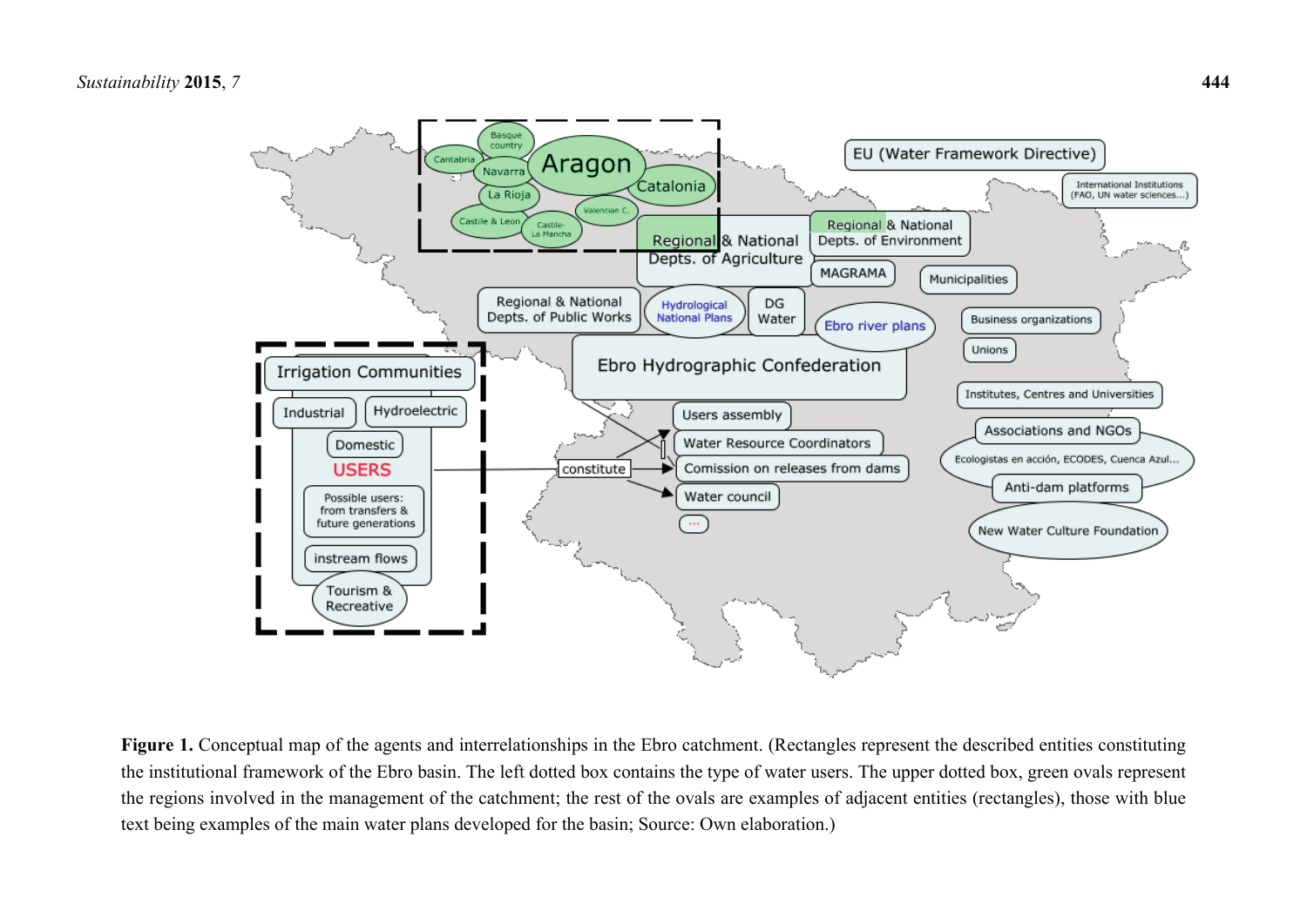

Figure 1. Conceptual map of the agents and interrelationships in the Ebro catchment. (Rectangles represent the described entities constituting the institutional framework of the Ebro basin. The left dotted box contains the type of water users. The upper dotted box, green ovals represent the regions involved in the management of the catchment; the rest of the ovals are examples of adjacent entities (rectangles), those with blue text being examples of the main water plans developed for the basin; Source: Own elaboration.)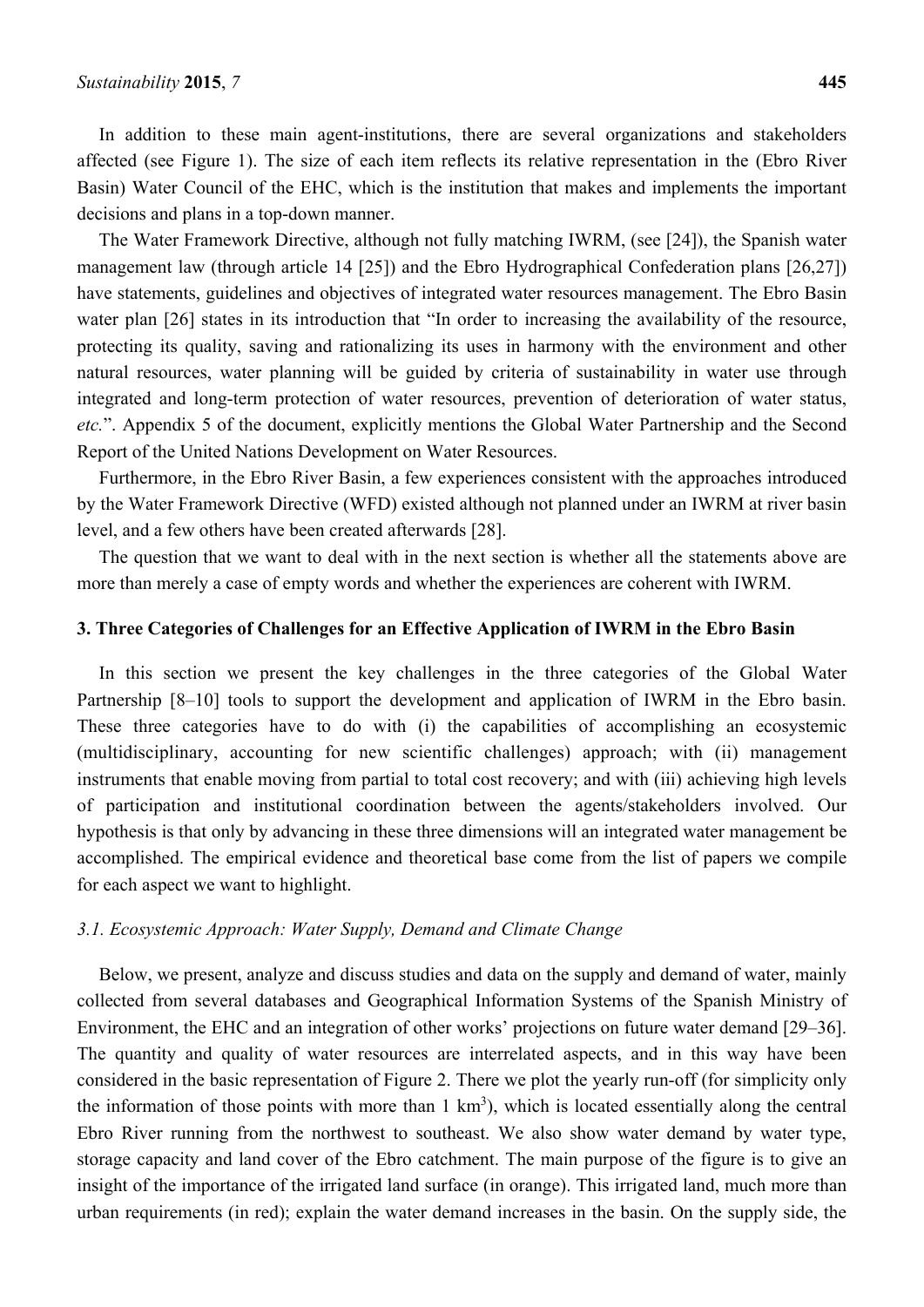In addition to these main agent-institutions, there are several organizations and stakeholders affected (see Figure 1). The size of each item reflects its relative representation in the (Ebro River Basin) Water Council of the EHC, which is the institution that makes and implements the important decisions and plans in a top-down manner.

The Water Framework Directive, although not fully matching IWRM, (see [24]), the Spanish water management law (through article 14 [25]) and the Ebro Hydrographical Confederation plans [26,27]) have statements, guidelines and objectives of integrated water resources management. The Ebro Basin water plan [26] states in its introduction that "In order to increasing the availability of the resource, protecting its quality, saving and rationalizing its uses in harmony with the environment and other natural resources, water planning will be guided by criteria of sustainability in water use through integrated and long-term protection of water resources, prevention of deterioration of water status, *etc.*". Appendix 5 of the document, explicitly mentions the Global Water Partnership and the Second Report of the United Nations Development on Water Resources.

Furthermore, in the Ebro River Basin, a few experiences consistent with the approaches introduced by the Water Framework Directive (WFD) existed although not planned under an IWRM at river basin level, and a few others have been created afterwards [28].

The question that we want to deal with in the next section is whether all the statements above are more than merely a case of empty words and whether the experiences are coherent with IWRM.

#### **3. Three Categories of Challenges for an Effective Application of IWRM in the Ebro Basin**

In this section we present the key challenges in the three categories of the Global Water Partnership [8–10] tools to support the development and application of IWRM in the Ebro basin. These three categories have to do with (i) the capabilities of accomplishing an ecosystemic (multidisciplinary, accounting for new scientific challenges) approach; with (ii) management instruments that enable moving from partial to total cost recovery; and with (iii) achieving high levels of participation and institutional coordination between the agents/stakeholders involved. Our hypothesis is that only by advancing in these three dimensions will an integrated water management be accomplished. The empirical evidence and theoretical base come from the list of papers we compile for each aspect we want to highlight.

# *3.1. Ecosystemic Approach: Water Supply, Demand and Climate Change*

Below, we present, analyze and discuss studies and data on the supply and demand of water, mainly collected from several databases and Geographical Information Systems of the Spanish Ministry of Environment, the EHC and an integration of other works' projections on future water demand [29–36]. The quantity and quality of water resources are interrelated aspects, and in this way have been considered in the basic representation of Figure 2. There we plot the yearly run-off (for simplicity only the information of those points with more than  $1 \text{ km}^3$ ), which is located essentially along the central Ebro River running from the northwest to southeast. We also show water demand by water type, storage capacity and land cover of the Ebro catchment. The main purpose of the figure is to give an insight of the importance of the irrigated land surface (in orange). This irrigated land, much more than urban requirements (in red); explain the water demand increases in the basin. On the supply side, the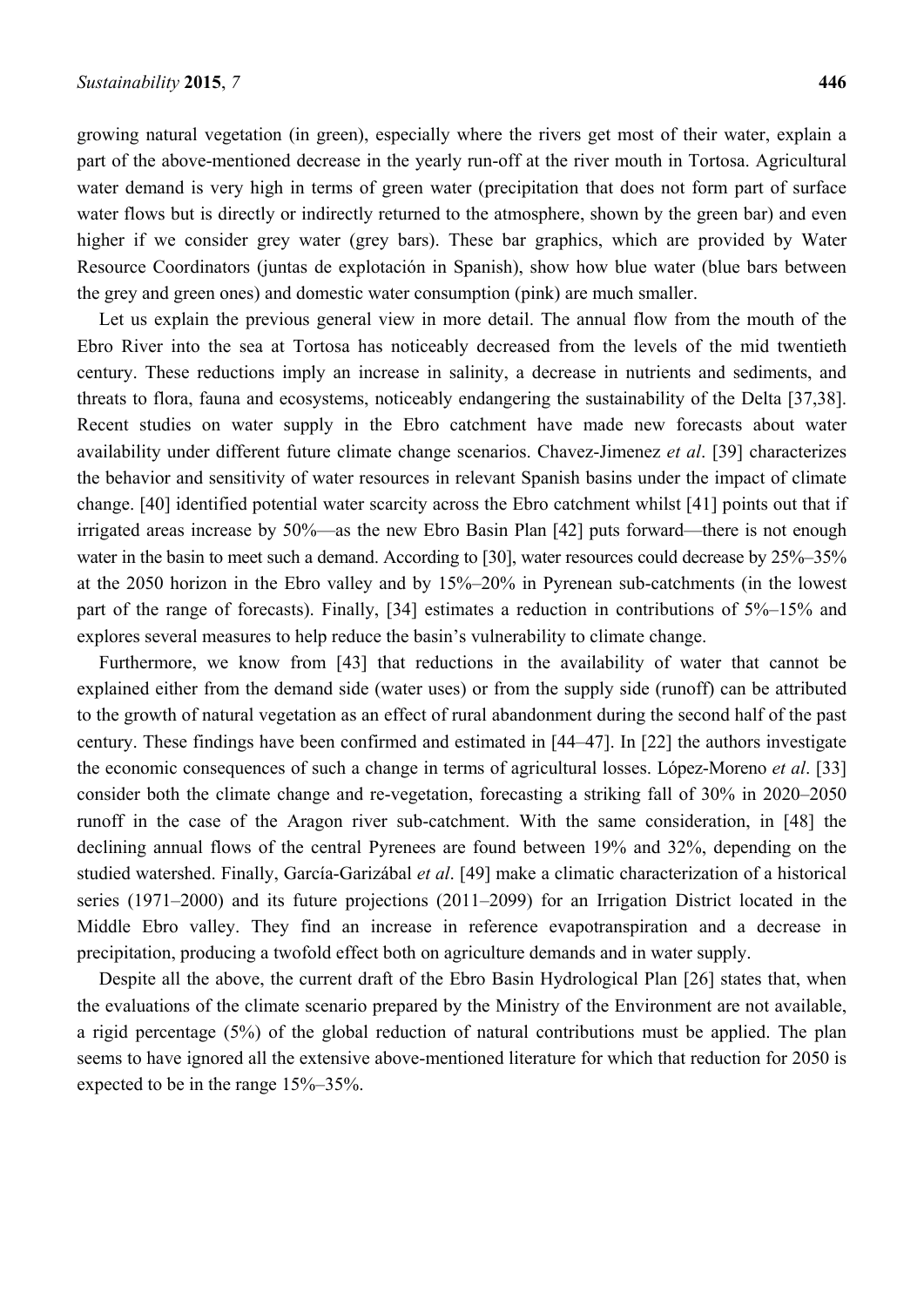growing natural vegetation (in green), especially where the rivers get most of their water, explain a part of the above-mentioned decrease in the yearly run-off at the river mouth in Tortosa. Agricultural water demand is very high in terms of green water (precipitation that does not form part of surface water flows but is directly or indirectly returned to the atmosphere, shown by the green bar) and even higher if we consider grey water (grey bars). These bar graphics, which are provided by Water Resource Coordinators (juntas de explotación in Spanish), show how blue water (blue bars between the grey and green ones) and domestic water consumption (pink) are much smaller.

Let us explain the previous general view in more detail. The annual flow from the mouth of the Ebro River into the sea at Tortosa has noticeably decreased from the levels of the mid twentieth century. These reductions imply an increase in salinity, a decrease in nutrients and sediments, and threats to flora, fauna and ecosystems, noticeably endangering the sustainability of the Delta [37,38]. Recent studies on water supply in the Ebro catchment have made new forecasts about water availability under different future climate change scenarios. Chavez-Jimenez *et al*. [39] characterizes the behavior and sensitivity of water resources in relevant Spanish basins under the impact of climate change. [40] identified potential water scarcity across the Ebro catchment whilst [41] points out that if irrigated areas increase by 50%—as the new Ebro Basin Plan [42] puts forward—there is not enough water in the basin to meet such a demand. According to [30], water resources could decrease by  $25\% - 35\%$ at the 2050 horizon in the Ebro valley and by 15%–20% in Pyrenean sub-catchments (in the lowest part of the range of forecasts). Finally, [34] estimates a reduction in contributions of 5%–15% and explores several measures to help reduce the basin's vulnerability to climate change.

Furthermore, we know from [43] that reductions in the availability of water that cannot be explained either from the demand side (water uses) or from the supply side (runoff) can be attributed to the growth of natural vegetation as an effect of rural abandonment during the second half of the past century. These findings have been confirmed and estimated in [44–47]. In [22] the authors investigate the economic consequences of such a change in terms of agricultural losses. López-Moreno *et al*. [33] consider both the climate change and re-vegetation, forecasting a striking fall of 30% in 2020–2050 runoff in the case of the Aragon river sub-catchment. With the same consideration, in [48] the declining annual flows of the central Pyrenees are found between 19% and 32%, depending on the studied watershed. Finally, García-Garizábal *et al*. [49] make a climatic characterization of a historical series (1971–2000) and its future projections (2011–2099) for an Irrigation District located in the Middle Ebro valley. They find an increase in reference evapotranspiration and a decrease in precipitation, producing a twofold effect both on agriculture demands and in water supply.

Despite all the above, the current draft of the Ebro Basin Hydrological Plan [26] states that, when the evaluations of the climate scenario prepared by the Ministry of the Environment are not available, a rigid percentage (5%) of the global reduction of natural contributions must be applied. The plan seems to have ignored all the extensive above-mentioned literature for which that reduction for 2050 is expected to be in the range 15%–35%.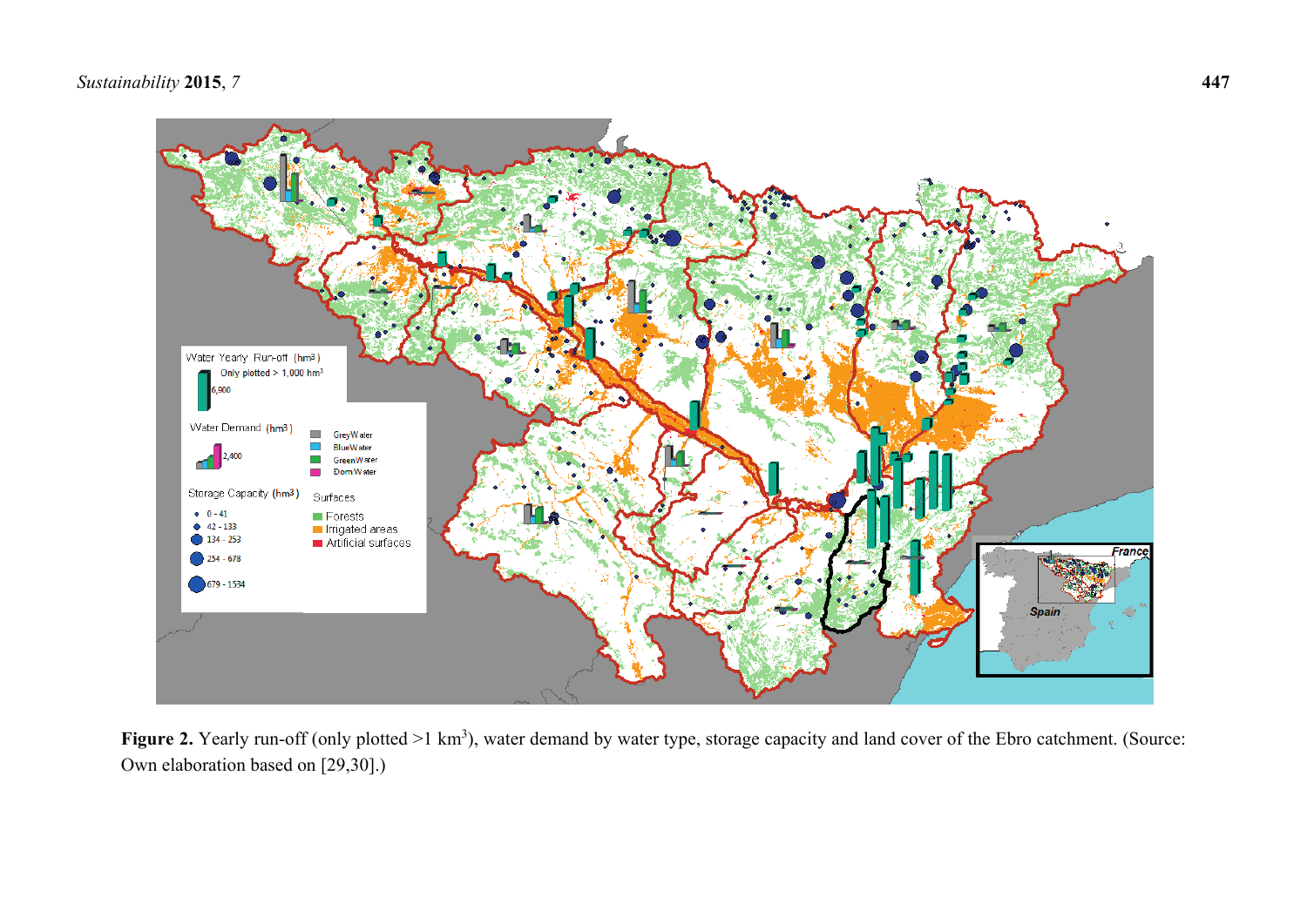# *Sustainability* **2015**, *7* **447**



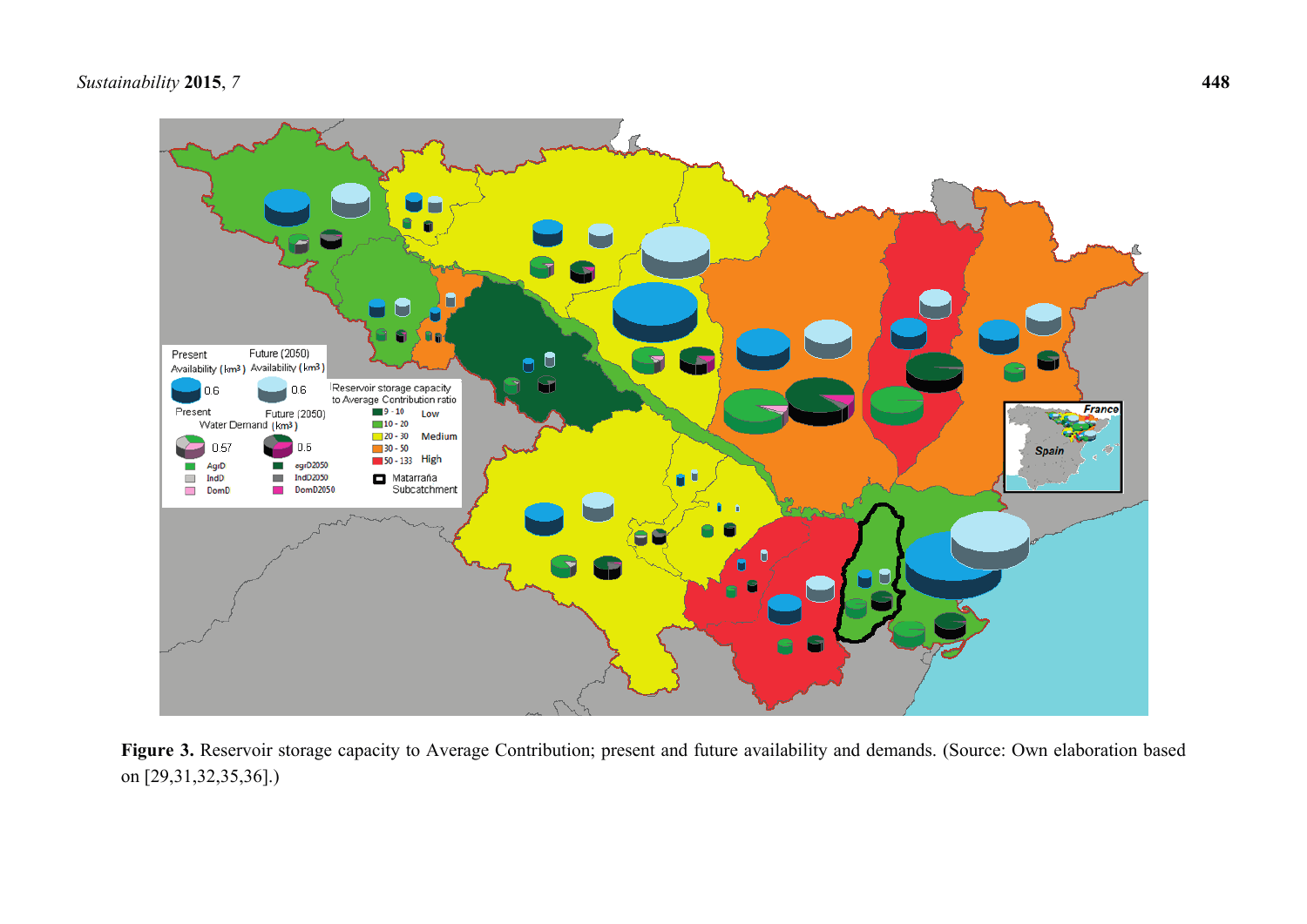

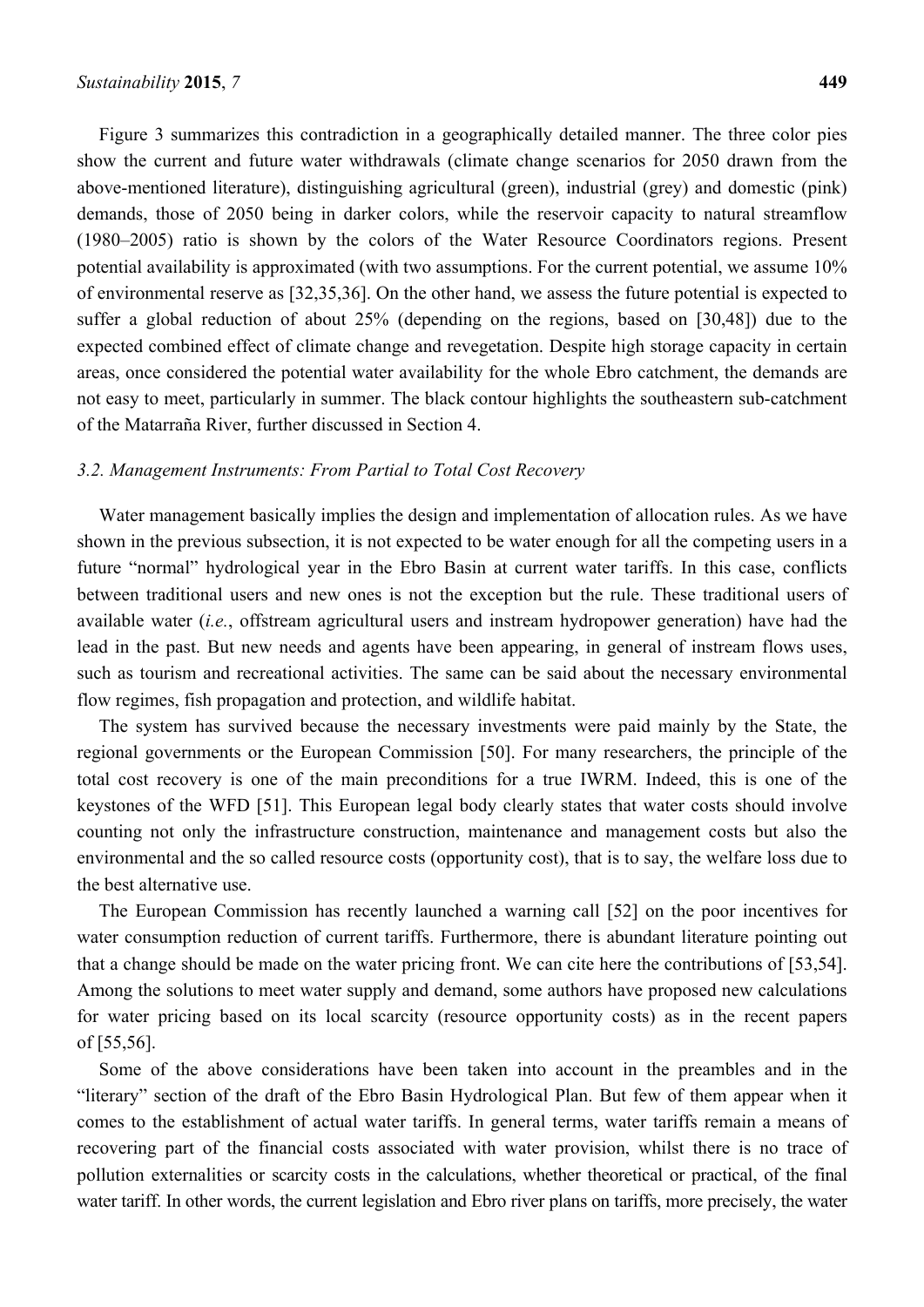Figure 3 summarizes this contradiction in a geographically detailed manner. The three color pies show the current and future water withdrawals (climate change scenarios for 2050 drawn from the above-mentioned literature), distinguishing agricultural (green), industrial (grey) and domestic (pink) demands, those of 2050 being in darker colors, while the reservoir capacity to natural streamflow (1980–2005) ratio is shown by the colors of the Water Resource Coordinators regions. Present potential availability is approximated (with two assumptions. For the current potential, we assume 10% of environmental reserve as [32,35,36]. On the other hand, we assess the future potential is expected to suffer a global reduction of about 25% (depending on the regions, based on [30,48]) due to the expected combined effect of climate change and revegetation. Despite high storage capacity in certain areas, once considered the potential water availability for the whole Ebro catchment, the demands are not easy to meet, particularly in summer. The black contour highlights the southeastern sub-catchment of the Matarraña River, further discussed in Section 4.

#### *3.2. Management Instruments: From Partial to Total Cost Recovery*

Water management basically implies the design and implementation of allocation rules. As we have shown in the previous subsection, it is not expected to be water enough for all the competing users in a future "normal" hydrological year in the Ebro Basin at current water tariffs. In this case, conflicts between traditional users and new ones is not the exception but the rule. These traditional users of available water (*i.e.*, offstream agricultural users and instream hydropower generation) have had the lead in the past. But new needs and agents have been appearing, in general of instream flows uses, such as tourism and recreational activities. The same can be said about the necessary environmental flow regimes, fish propagation and protection, and wildlife habitat.

The system has survived because the necessary investments were paid mainly by the State, the regional governments or the European Commission [50]. For many researchers, the principle of the total cost recovery is one of the main preconditions for a true IWRM. Indeed, this is one of the keystones of the WFD [51]. This European legal body clearly states that water costs should involve counting not only the infrastructure construction, maintenance and management costs but also the environmental and the so called resource costs (opportunity cost), that is to say, the welfare loss due to the best alternative use.

The European Commission has recently launched a warning call [52] on the poor incentives for water consumption reduction of current tariffs. Furthermore, there is abundant literature pointing out that a change should be made on the water pricing front. We can cite here the contributions of [53,54]. Among the solutions to meet water supply and demand, some authors have proposed new calculations for water pricing based on its local scarcity (resource opportunity costs) as in the recent papers of [55,56].

Some of the above considerations have been taken into account in the preambles and in the "literary" section of the draft of the Ebro Basin Hydrological Plan. But few of them appear when it comes to the establishment of actual water tariffs. In general terms, water tariffs remain a means of recovering part of the financial costs associated with water provision, whilst there is no trace of pollution externalities or scarcity costs in the calculations, whether theoretical or practical, of the final water tariff. In other words, the current legislation and Ebro river plans on tariffs, more precisely, the water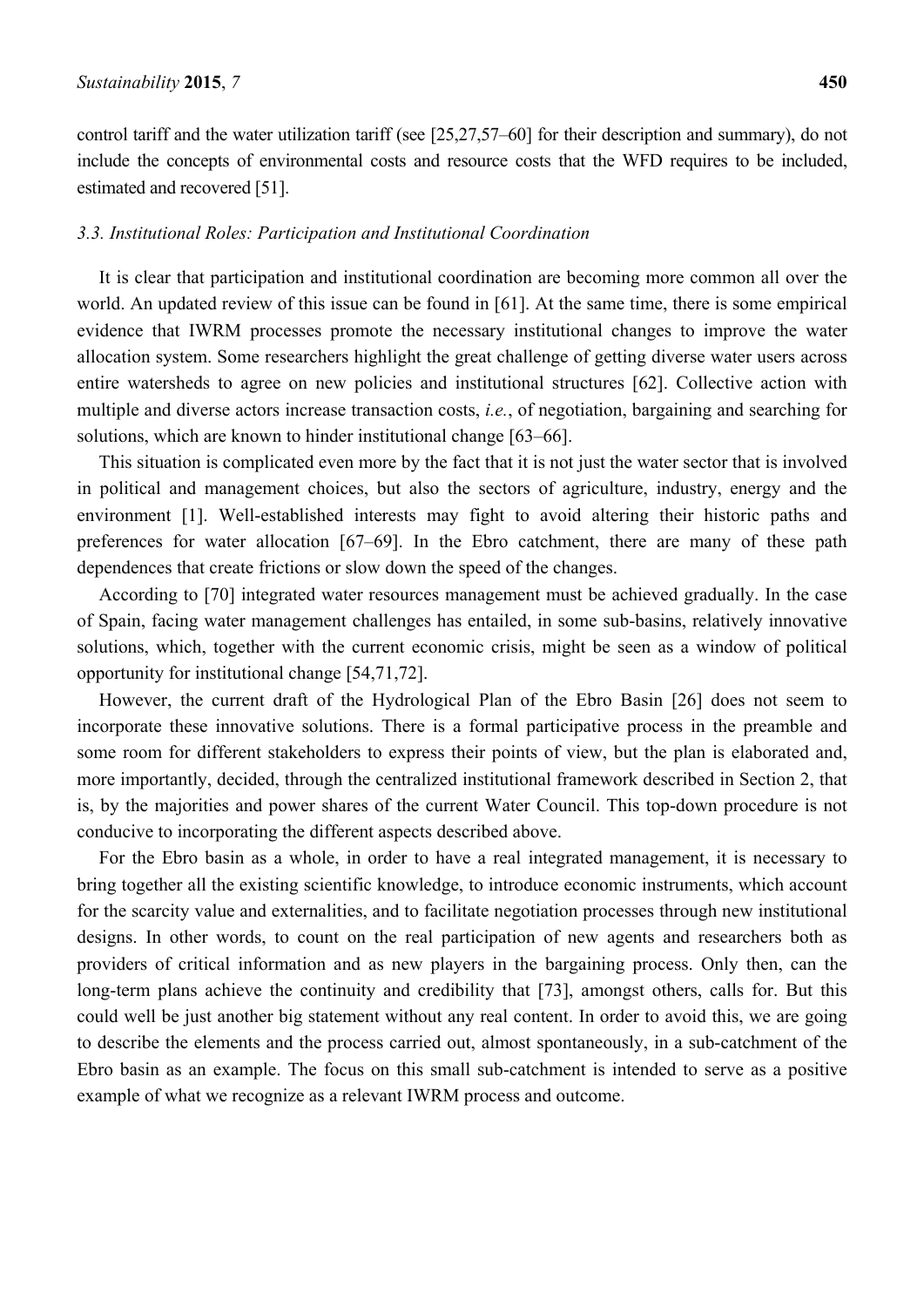control tariff and the water utilization tariff (see [25,27,57–60] for their description and summary), do not include the concepts of environmental costs and resource costs that the WFD requires to be included, estimated and recovered [51].

### *3.3. Institutional Roles: Participation and Institutional Coordination*

It is clear that participation and institutional coordination are becoming more common all over the world. An updated review of this issue can be found in [61]. At the same time, there is some empirical evidence that IWRM processes promote the necessary institutional changes to improve the water allocation system. Some researchers highlight the great challenge of getting diverse water users across entire watersheds to agree on new policies and institutional structures [62]. Collective action with multiple and diverse actors increase transaction costs, *i.e.*, of negotiation, bargaining and searching for solutions, which are known to hinder institutional change [63–66].

This situation is complicated even more by the fact that it is not just the water sector that is involved in political and management choices, but also the sectors of agriculture, industry, energy and the environment [1]. Well-established interests may fight to avoid altering their historic paths and preferences for water allocation [67–69]. In the Ebro catchment, there are many of these path dependences that create frictions or slow down the speed of the changes.

According to [70] integrated water resources management must be achieved gradually. In the case of Spain, facing water management challenges has entailed, in some sub-basins, relatively innovative solutions, which, together with the current economic crisis, might be seen as a window of political opportunity for institutional change [54,71,72].

However, the current draft of the Hydrological Plan of the Ebro Basin [26] does not seem to incorporate these innovative solutions. There is a formal participative process in the preamble and some room for different stakeholders to express their points of view, but the plan is elaborated and, more importantly, decided, through the centralized institutional framework described in Section 2, that is, by the majorities and power shares of the current Water Council. This top-down procedure is not conducive to incorporating the different aspects described above.

For the Ebro basin as a whole, in order to have a real integrated management, it is necessary to bring together all the existing scientific knowledge, to introduce economic instruments, which account for the scarcity value and externalities, and to facilitate negotiation processes through new institutional designs. In other words, to count on the real participation of new agents and researchers both as providers of critical information and as new players in the bargaining process. Only then, can the long-term plans achieve the continuity and credibility that [73], amongst others, calls for. But this could well be just another big statement without any real content. In order to avoid this, we are going to describe the elements and the process carried out, almost spontaneously, in a sub-catchment of the Ebro basin as an example. The focus on this small sub-catchment is intended to serve as a positive example of what we recognize as a relevant IWRM process and outcome.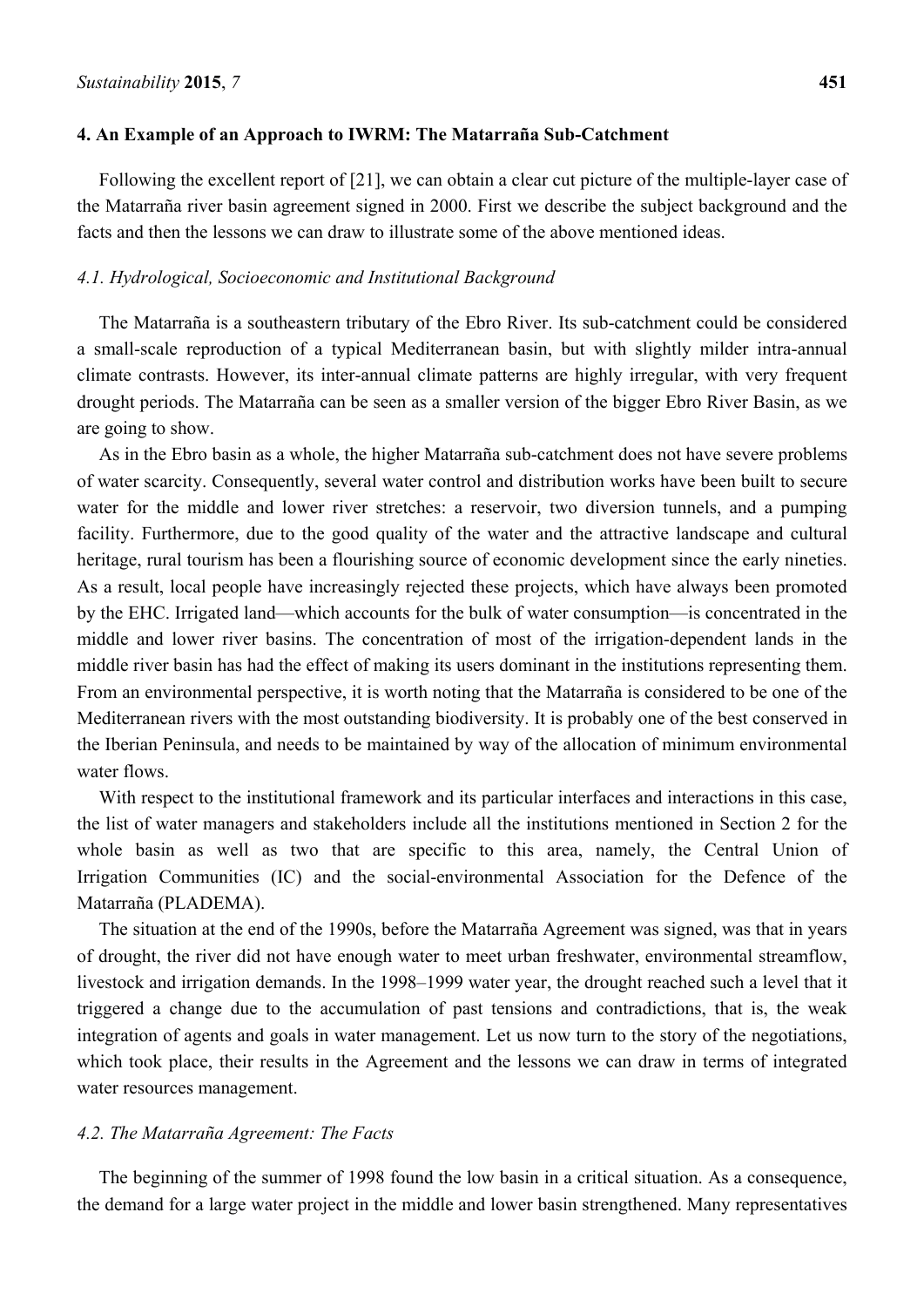#### **4. An Example of an Approach to IWRM: The Matarraña Sub-Catchment**

Following the excellent report of [21], we can obtain a clear cut picture of the multiple-layer case of the Matarraña river basin agreement signed in 2000. First we describe the subject background and the facts and then the lessons we can draw to illustrate some of the above mentioned ideas.

#### *4.1. Hydrological, Socioeconomic and Institutional Background*

The Matarraña is a southeastern tributary of the Ebro River. Its sub-catchment could be considered a small-scale reproduction of a typical Mediterranean basin, but with slightly milder intra-annual climate contrasts. However, its inter-annual climate patterns are highly irregular, with very frequent drought periods. The Matarraña can be seen as a smaller version of the bigger Ebro River Basin, as we are going to show.

As in the Ebro basin as a whole, the higher Matarraña sub-catchment does not have severe problems of water scarcity. Consequently, several water control and distribution works have been built to secure water for the middle and lower river stretches: a reservoir, two diversion tunnels, and a pumping facility. Furthermore, due to the good quality of the water and the attractive landscape and cultural heritage, rural tourism has been a flourishing source of economic development since the early nineties. As a result, local people have increasingly rejected these projects, which have always been promoted by the EHC. Irrigated land—which accounts for the bulk of water consumption—is concentrated in the middle and lower river basins. The concentration of most of the irrigation-dependent lands in the middle river basin has had the effect of making its users dominant in the institutions representing them. From an environmental perspective, it is worth noting that the Matarraña is considered to be one of the Mediterranean rivers with the most outstanding biodiversity. It is probably one of the best conserved in the Iberian Peninsula, and needs to be maintained by way of the allocation of minimum environmental water flows.

With respect to the institutional framework and its particular interfaces and interactions in this case, the list of water managers and stakeholders include all the institutions mentioned in Section 2 for the whole basin as well as two that are specific to this area, namely, the Central Union of Irrigation Communities (IC) and the social-environmental Association for the Defence of the Matarraña (PLADEMA).

The situation at the end of the 1990s, before the Matarraña Agreement was signed, was that in years of drought, the river did not have enough water to meet urban freshwater, environmental streamflow, livestock and irrigation demands. In the 1998–1999 water year, the drought reached such a level that it triggered a change due to the accumulation of past tensions and contradictions, that is, the weak integration of agents and goals in water management. Let us now turn to the story of the negotiations, which took place, their results in the Agreement and the lessons we can draw in terms of integrated water resources management.

#### *4.2. The Matarraña Agreement: The Facts*

The beginning of the summer of 1998 found the low basin in a critical situation. As a consequence, the demand for a large water project in the middle and lower basin strengthened. Many representatives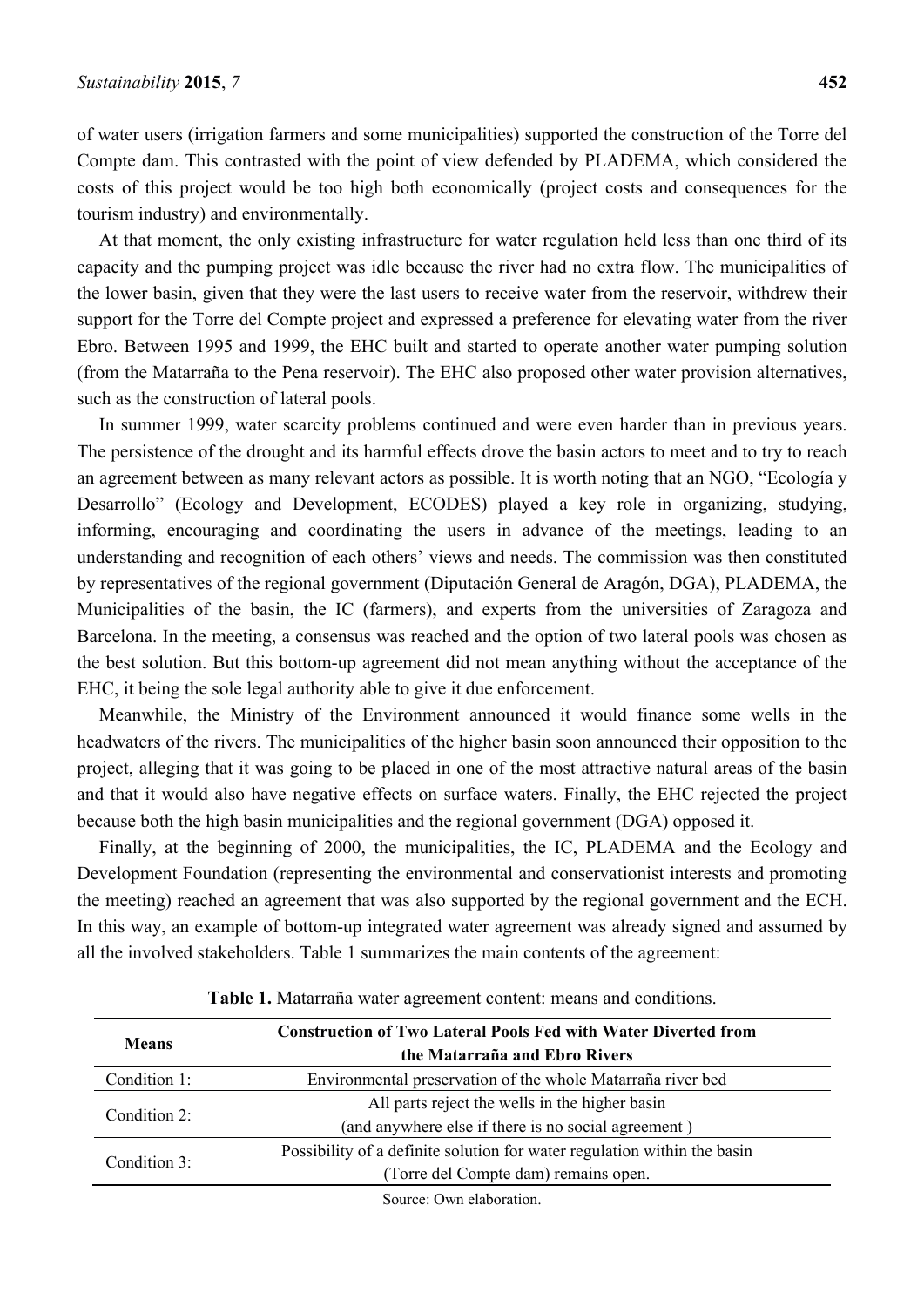of water users (irrigation farmers and some municipalities) supported the construction of the Torre del Compte dam. This contrasted with the point of view defended by PLADEMA, which considered the costs of this project would be too high both economically (project costs and consequences for the tourism industry) and environmentally.

At that moment, the only existing infrastructure for water regulation held less than one third of its capacity and the pumping project was idle because the river had no extra flow. The municipalities of the lower basin, given that they were the last users to receive water from the reservoir, withdrew their support for the Torre del Compte project and expressed a preference for elevating water from the river Ebro. Between 1995 and 1999, the EHC built and started to operate another water pumping solution (from the Matarraña to the Pena reservoir). The EHC also proposed other water provision alternatives, such as the construction of lateral pools.

In summer 1999, water scarcity problems continued and were even harder than in previous years. The persistence of the drought and its harmful effects drove the basin actors to meet and to try to reach an agreement between as many relevant actors as possible. It is worth noting that an NGO, "Ecología y Desarrollo" (Ecology and Development, ECODES) played a key role in organizing, studying, informing, encouraging and coordinating the users in advance of the meetings, leading to an understanding and recognition of each others' views and needs. The commission was then constituted by representatives of the regional government (Diputación General de Aragón, DGA), PLADEMA, the Municipalities of the basin, the IC (farmers), and experts from the universities of Zaragoza and Barcelona. In the meeting, a consensus was reached and the option of two lateral pools was chosen as the best solution. But this bottom-up agreement did not mean anything without the acceptance of the EHC, it being the sole legal authority able to give it due enforcement.

Meanwhile, the Ministry of the Environment announced it would finance some wells in the headwaters of the rivers. The municipalities of the higher basin soon announced their opposition to the project, alleging that it was going to be placed in one of the most attractive natural areas of the basin and that it would also have negative effects on surface waters. Finally, the EHC rejected the project because both the high basin municipalities and the regional government (DGA) opposed it.

Finally, at the beginning of 2000, the municipalities, the IC, PLADEMA and the Ecology and Development Foundation (representing the environmental and conservationist interests and promoting the meeting) reached an agreement that was also supported by the regional government and the ECH. In this way, an example of bottom-up integrated water agreement was already signed and assumed by all the involved stakeholders. Table 1 summarizes the main contents of the agreement:

| <b>Construction of Two Lateral Pools Fed with Water Diverted from</b>    |  |  |  |  |
|--------------------------------------------------------------------------|--|--|--|--|
| the Matarraña and Ebro Rivers                                            |  |  |  |  |
| Environmental preservation of the whole Matarraña river bed              |  |  |  |  |
| All parts reject the wells in the higher basin                           |  |  |  |  |
| (and anywhere else if there is no social agreement)                      |  |  |  |  |
| Possibility of a definite solution for water regulation within the basin |  |  |  |  |
| (Torre del Compte dam) remains open.                                     |  |  |  |  |
|                                                                          |  |  |  |  |

**Table 1.** Matarraña water agreement content: means and conditions.

Source: Own elaboration.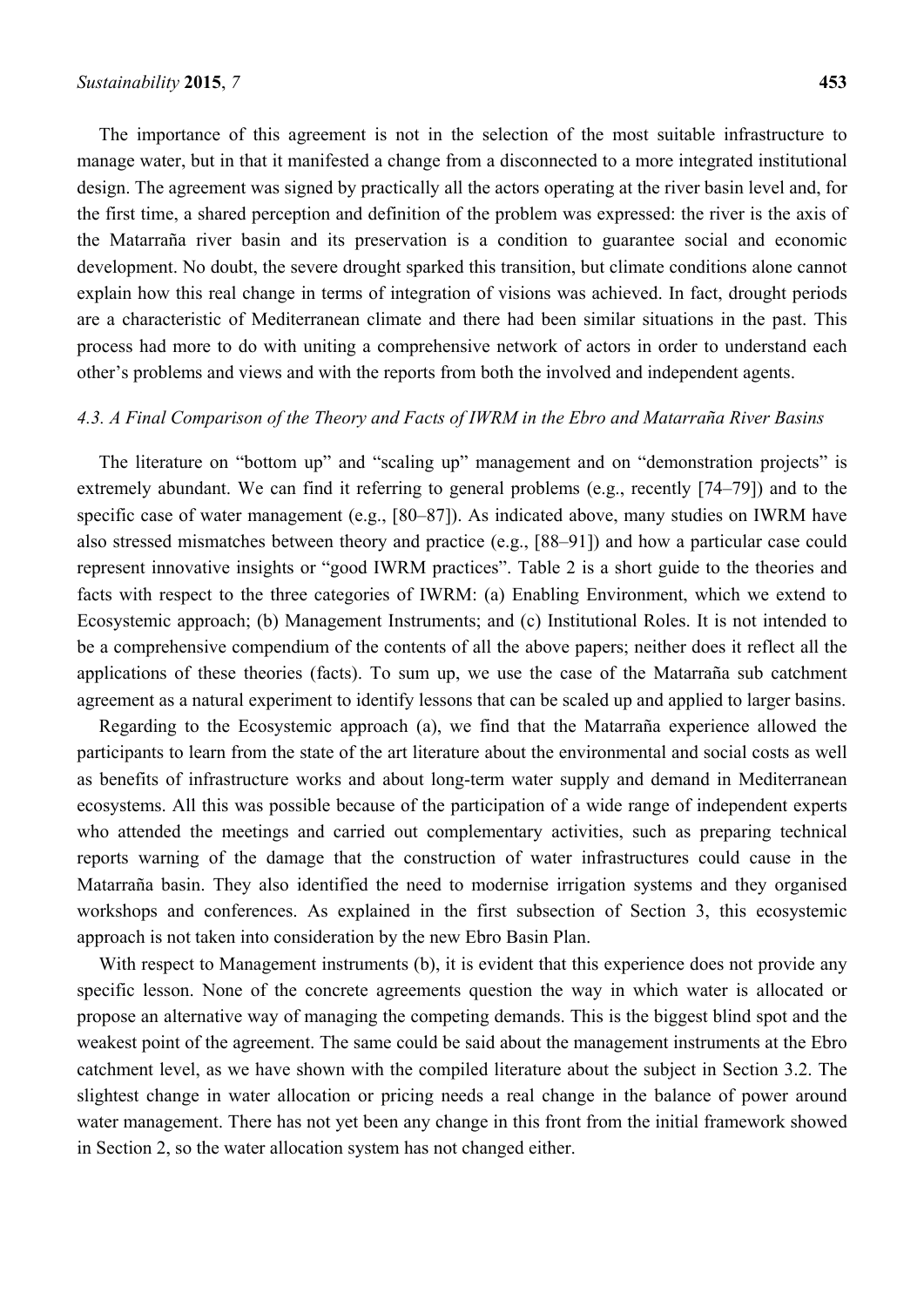The importance of this agreement is not in the selection of the most suitable infrastructure to manage water, but in that it manifested a change from a disconnected to a more integrated institutional design. The agreement was signed by practically all the actors operating at the river basin level and, for the first time, a shared perception and definition of the problem was expressed: the river is the axis of the Matarraña river basin and its preservation is a condition to guarantee social and economic development. No doubt, the severe drought sparked this transition, but climate conditions alone cannot explain how this real change in terms of integration of visions was achieved. In fact, drought periods are a characteristic of Mediterranean climate and there had been similar situations in the past. This process had more to do with uniting a comprehensive network of actors in order to understand each other's problems and views and with the reports from both the involved and independent agents.

## *4.3. A Final Comparison of the Theory and Facts of IWRM in the Ebro and Matarraña River Basins*

The literature on "bottom up" and "scaling up" management and on "demonstration projects" is extremely abundant. We can find it referring to general problems (e.g., recently [74–79]) and to the specific case of water management (e.g., [80–87]). As indicated above, many studies on IWRM have also stressed mismatches between theory and practice (e.g., [88–91]) and how a particular case could represent innovative insights or "good IWRM practices". Table 2 is a short guide to the theories and facts with respect to the three categories of IWRM: (a) Enabling Environment, which we extend to Ecosystemic approach; (b) Management Instruments; and (c) Institutional Roles. It is not intended to be a comprehensive compendium of the contents of all the above papers; neither does it reflect all the applications of these theories (facts). To sum up, we use the case of the Matarraña sub catchment agreement as a natural experiment to identify lessons that can be scaled up and applied to larger basins.

Regarding to the Ecosystemic approach (a), we find that the Matarraña experience allowed the participants to learn from the state of the art literature about the environmental and social costs as well as benefits of infrastructure works and about long-term water supply and demand in Mediterranean ecosystems. All this was possible because of the participation of a wide range of independent experts who attended the meetings and carried out complementary activities, such as preparing technical reports warning of the damage that the construction of water infrastructures could cause in the Matarraña basin. They also identified the need to modernise irrigation systems and they organised workshops and conferences. As explained in the first subsection of Section 3, this ecosystemic approach is not taken into consideration by the new Ebro Basin Plan.

With respect to Management instruments (b), it is evident that this experience does not provide any specific lesson. None of the concrete agreements question the way in which water is allocated or propose an alternative way of managing the competing demands. This is the biggest blind spot and the weakest point of the agreement. The same could be said about the management instruments at the Ebro catchment level, as we have shown with the compiled literature about the subject in Section 3.2. The slightest change in water allocation or pricing needs a real change in the balance of power around water management. There has not yet been any change in this front from the initial framework showed in Section 2, so the water allocation system has not changed either.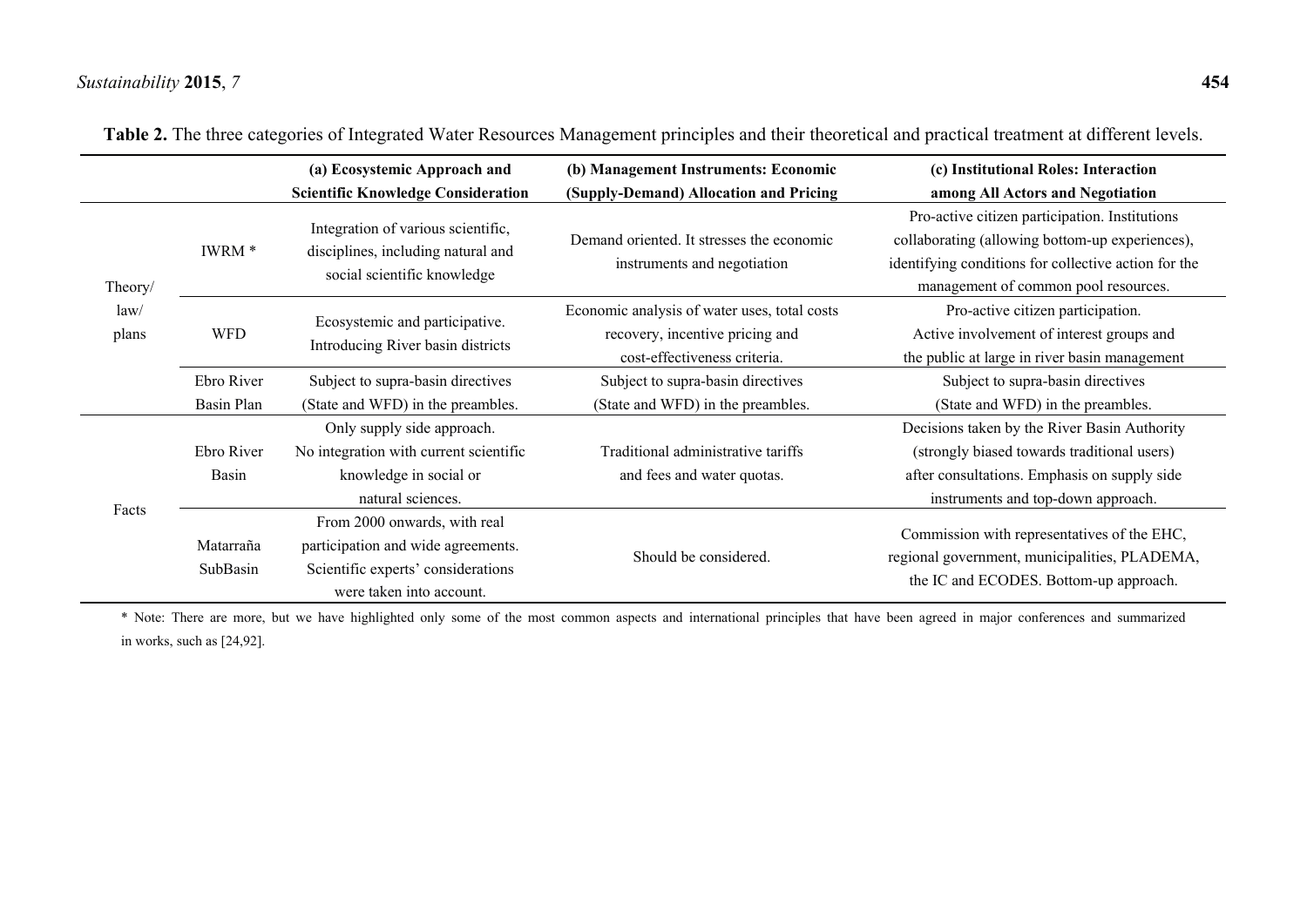|                          |                          | (a) Ecosystemic Approach and<br><b>Scientific Knowledge Consideration</b>                                                            | (b) Management Instruments: Economic<br>(Supply-Demand) Allocation and Pricing                                  | (c) Institutional Roles: Interaction<br>among All Actors and Negotiation                                                                                                                          |  |  |  |
|--------------------------|--------------------------|--------------------------------------------------------------------------------------------------------------------------------------|-----------------------------------------------------------------------------------------------------------------|---------------------------------------------------------------------------------------------------------------------------------------------------------------------------------------------------|--|--|--|
| Theory/<br>law/<br>plans | IWRM <sup>*</sup>        | Integration of various scientific,<br>disciplines, including natural and<br>social scientific knowledge                              | Demand oriented. It stresses the economic<br>instruments and negotiation                                        | Pro-active citizen participation. Institutions<br>collaborating (allowing bottom-up experiences),<br>identifying conditions for collective action for the<br>management of common pool resources. |  |  |  |
|                          | <b>WFD</b>               | Ecosystemic and participative.<br>Introducing River basin districts                                                                  | Economic analysis of water uses, total costs<br>recovery, incentive pricing and<br>cost-effectiveness criteria. | Pro-active citizen participation.<br>Active involvement of interest groups and<br>the public at large in river basin management                                                                   |  |  |  |
|                          | Ebro River<br>Basin Plan | Subject to supra-basin directives<br>(State and WFD) in the preambles.                                                               | Subject to supra-basin directives<br>(State and WFD) in the preambles.                                          | Subject to supra-basin directives<br>(State and WFD) in the preambles.                                                                                                                            |  |  |  |
| Facts                    | Ebro River<br>Basin      | Only supply side approach.<br>No integration with current scientific<br>knowledge in social or<br>natural sciences.                  | Traditional administrative tariffs<br>and fees and water quotas.                                                | Decisions taken by the River Basin Authority<br>(strongly biased towards traditional users)<br>after consultations. Emphasis on supply side<br>instruments and top-down approach.                 |  |  |  |
|                          | Matarraña<br>SubBasin    | From 2000 onwards, with real<br>participation and wide agreements.<br>Scientific experts' considerations<br>were taken into account. | Should be considered.                                                                                           | Commission with representatives of the EHC,<br>regional government, municipalities, PLADEMA,<br>the IC and ECODES. Bottom-up approach.                                                            |  |  |  |

| Table 2. The three categories of Integrated Water Resources Management principles and their theoretical and practical treatment at different levels. |  |  |  |  |  |  |  |
|------------------------------------------------------------------------------------------------------------------------------------------------------|--|--|--|--|--|--|--|
|                                                                                                                                                      |  |  |  |  |  |  |  |

\* Note: There are more, but we have highlighted only some of the most common aspects and international principles that have been agreed in major conferences and summarized in works, such as [24,92].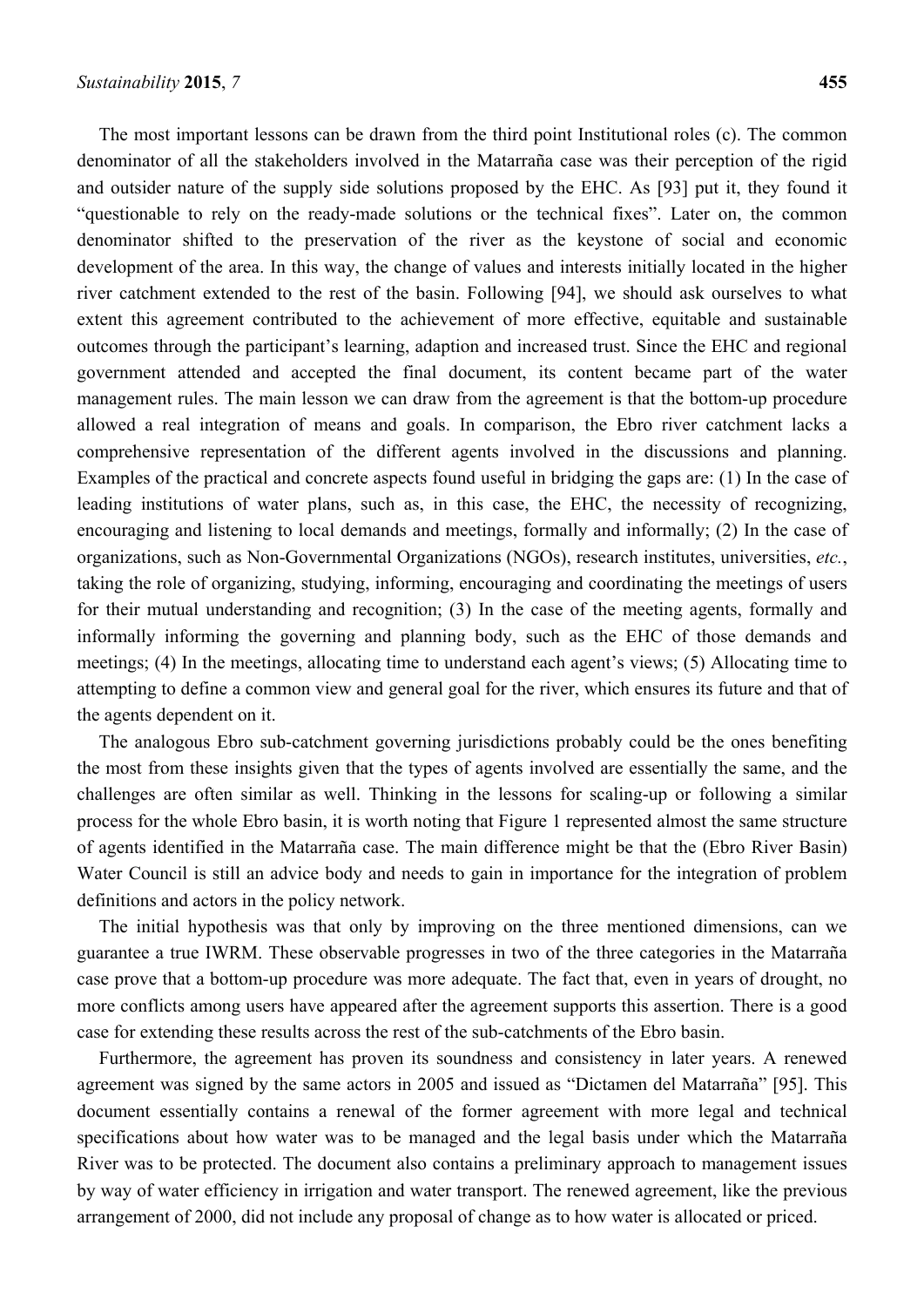The most important lessons can be drawn from the third point Institutional roles (c). The common denominator of all the stakeholders involved in the Matarraña case was their perception of the rigid and outsider nature of the supply side solutions proposed by the EHC. As [93] put it, they found it "questionable to rely on the ready-made solutions or the technical fixes". Later on, the common denominator shifted to the preservation of the river as the keystone of social and economic development of the area. In this way, the change of values and interests initially located in the higher river catchment extended to the rest of the basin. Following [94], we should ask ourselves to what extent this agreement contributed to the achievement of more effective, equitable and sustainable outcomes through the participant's learning, adaption and increased trust. Since the EHC and regional government attended and accepted the final document, its content became part of the water management rules. The main lesson we can draw from the agreement is that the bottom-up procedure allowed a real integration of means and goals. In comparison, the Ebro river catchment lacks a comprehensive representation of the different agents involved in the discussions and planning. Examples of the practical and concrete aspects found useful in bridging the gaps are: (1) In the case of leading institutions of water plans, such as, in this case, the EHC, the necessity of recognizing, encouraging and listening to local demands and meetings, formally and informally; (2) In the case of organizations, such as Non-Governmental Organizations (NGOs), research institutes, universities, *etc.*, taking the role of organizing, studying, informing, encouraging and coordinating the meetings of users for their mutual understanding and recognition; (3) In the case of the meeting agents, formally and informally informing the governing and planning body, such as the EHC of those demands and meetings; (4) In the meetings, allocating time to understand each agent's views; (5) Allocating time to attempting to define a common view and general goal for the river, which ensures its future and that of the agents dependent on it.

The analogous Ebro sub-catchment governing jurisdictions probably could be the ones benefiting the most from these insights given that the types of agents involved are essentially the same, and the challenges are often similar as well. Thinking in the lessons for scaling-up or following a similar process for the whole Ebro basin, it is worth noting that Figure 1 represented almost the same structure of agents identified in the Matarraña case. The main difference might be that the (Ebro River Basin) Water Council is still an advice body and needs to gain in importance for the integration of problem definitions and actors in the policy network.

The initial hypothesis was that only by improving on the three mentioned dimensions, can we guarantee a true IWRM. These observable progresses in two of the three categories in the Matarraña case prove that a bottom-up procedure was more adequate. The fact that, even in years of drought, no more conflicts among users have appeared after the agreement supports this assertion. There is a good case for extending these results across the rest of the sub-catchments of the Ebro basin.

Furthermore, the agreement has proven its soundness and consistency in later years. A renewed agreement was signed by the same actors in 2005 and issued as "Dictamen del Matarraña" [95]. This document essentially contains a renewal of the former agreement with more legal and technical specifications about how water was to be managed and the legal basis under which the Matarraña River was to be protected. The document also contains a preliminary approach to management issues by way of water efficiency in irrigation and water transport. The renewed agreement, like the previous arrangement of 2000, did not include any proposal of change as to how water is allocated or priced.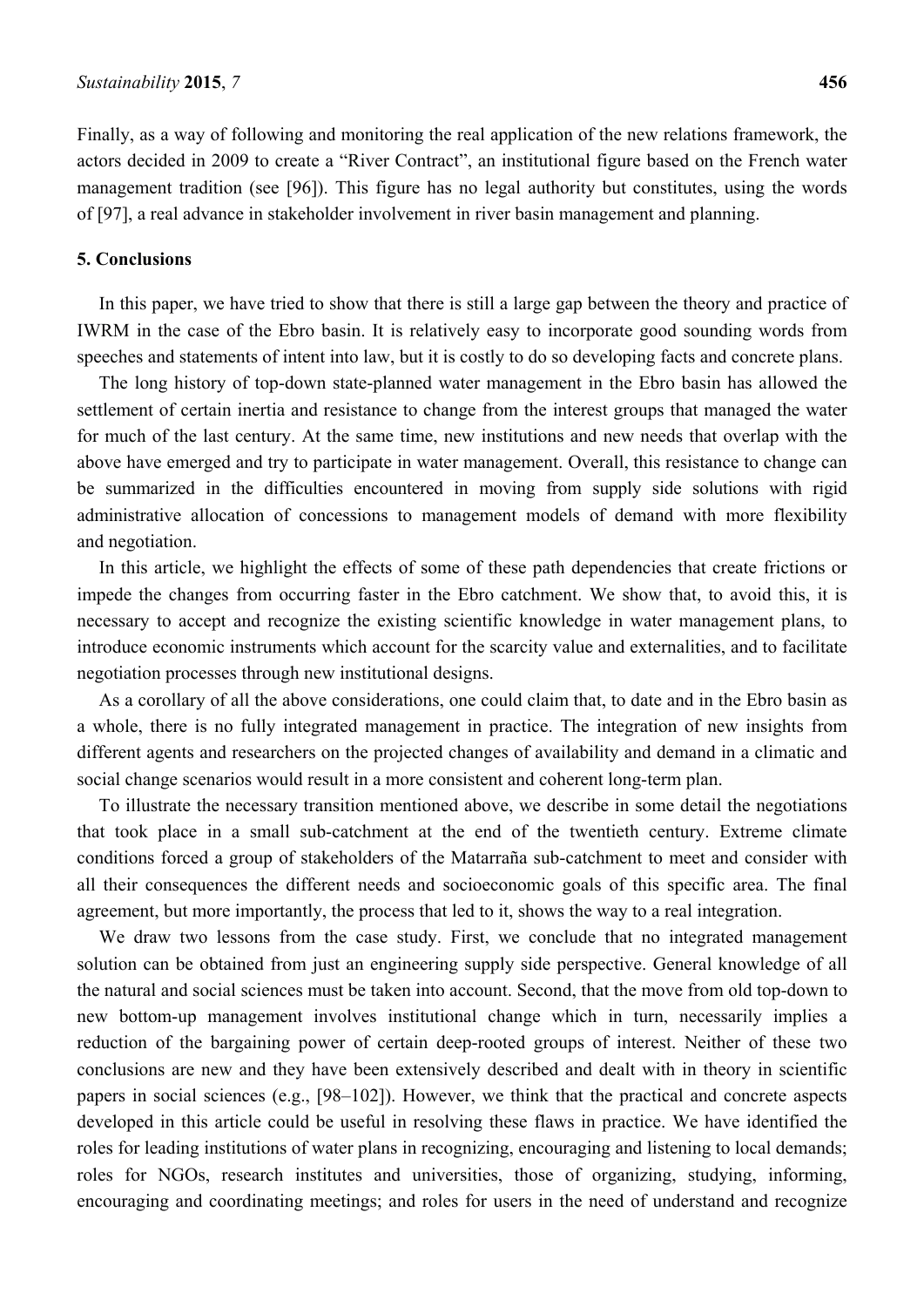Finally, as a way of following and monitoring the real application of the new relations framework, the actors decided in 2009 to create a "River Contract", an institutional figure based on the French water management tradition (see [96]). This figure has no legal authority but constitutes, using the words of [97], a real advance in stakeholder involvement in river basin management and planning.

#### **5. Conclusions**

In this paper, we have tried to show that there is still a large gap between the theory and practice of IWRM in the case of the Ebro basin. It is relatively easy to incorporate good sounding words from speeches and statements of intent into law, but it is costly to do so developing facts and concrete plans.

The long history of top-down state-planned water management in the Ebro basin has allowed the settlement of certain inertia and resistance to change from the interest groups that managed the water for much of the last century. At the same time, new institutions and new needs that overlap with the above have emerged and try to participate in water management. Overall, this resistance to change can be summarized in the difficulties encountered in moving from supply side solutions with rigid administrative allocation of concessions to management models of demand with more flexibility and negotiation.

In this article, we highlight the effects of some of these path dependencies that create frictions or impede the changes from occurring faster in the Ebro catchment. We show that, to avoid this, it is necessary to accept and recognize the existing scientific knowledge in water management plans, to introduce economic instruments which account for the scarcity value and externalities, and to facilitate negotiation processes through new institutional designs.

As a corollary of all the above considerations, one could claim that, to date and in the Ebro basin as a whole, there is no fully integrated management in practice. The integration of new insights from different agents and researchers on the projected changes of availability and demand in a climatic and social change scenarios would result in a more consistent and coherent long-term plan.

To illustrate the necessary transition mentioned above, we describe in some detail the negotiations that took place in a small sub-catchment at the end of the twentieth century. Extreme climate conditions forced a group of stakeholders of the Matarraña sub-catchment to meet and consider with all their consequences the different needs and socioeconomic goals of this specific area. The final agreement, but more importantly, the process that led to it, shows the way to a real integration.

We draw two lessons from the case study. First, we conclude that no integrated management solution can be obtained from just an engineering supply side perspective. General knowledge of all the natural and social sciences must be taken into account. Second, that the move from old top-down to new bottom-up management involves institutional change which in turn, necessarily implies a reduction of the bargaining power of certain deep-rooted groups of interest. Neither of these two conclusions are new and they have been extensively described and dealt with in theory in scientific papers in social sciences (e.g., [98–102]). However, we think that the practical and concrete aspects developed in this article could be useful in resolving these flaws in practice. We have identified the roles for leading institutions of water plans in recognizing, encouraging and listening to local demands; roles for NGOs, research institutes and universities, those of organizing, studying, informing, encouraging and coordinating meetings; and roles for users in the need of understand and recognize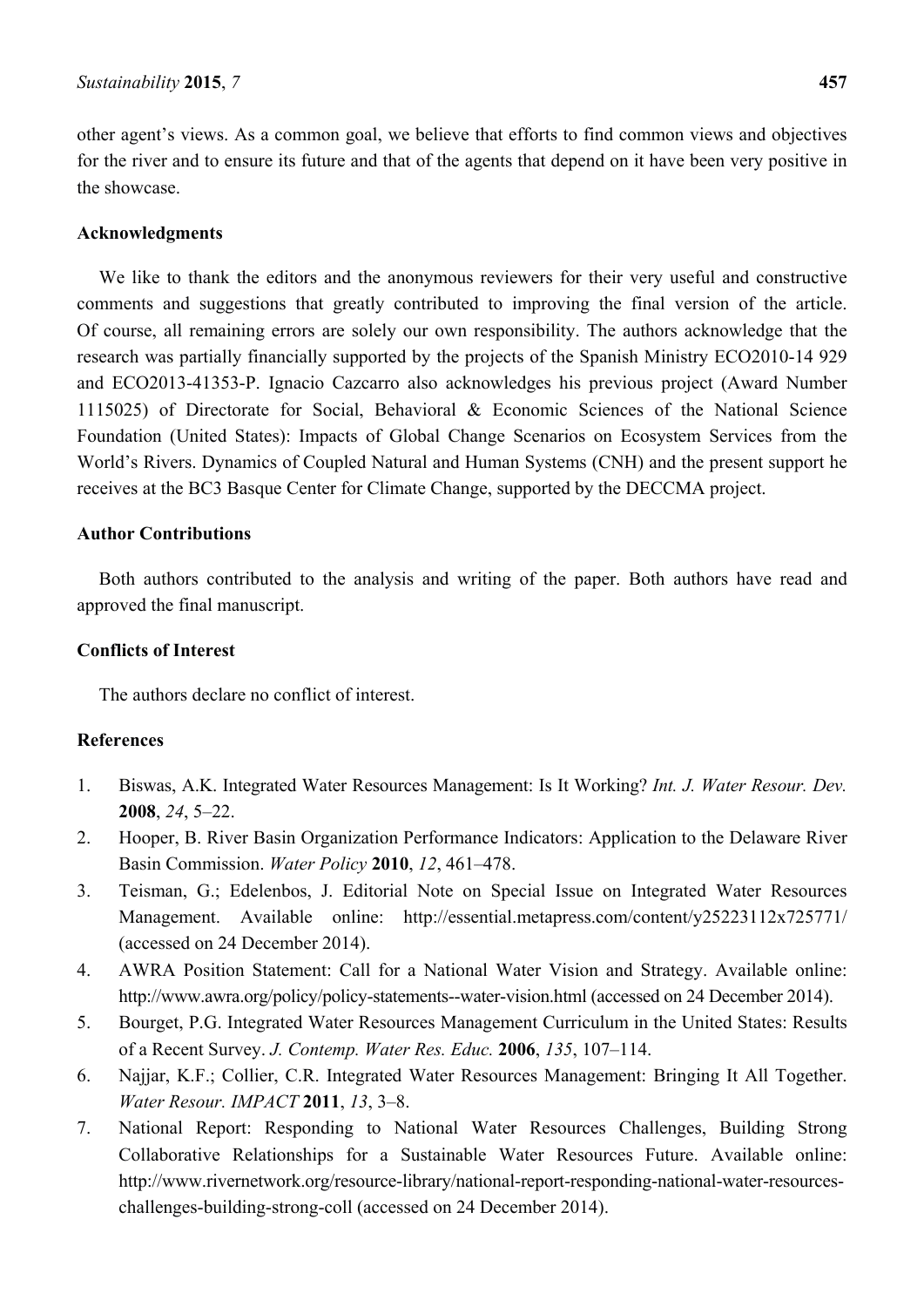other agent's views. As a common goal, we believe that efforts to find common views and objectives for the river and to ensure its future and that of the agents that depend on it have been very positive in the showcase.

#### **Acknowledgments**

We like to thank the editors and the anonymous reviewers for their very useful and constructive comments and suggestions that greatly contributed to improving the final version of the article. Of course, all remaining errors are solely our own responsibility. The authors acknowledge that the research was partially financially supported by the projects of the Spanish Ministry ECO2010-14 929 and ECO2013-41353-P. Ignacio Cazcarro also acknowledges his previous project (Award Number 1115025) of Directorate for Social, Behavioral & Economic Sciences of the National Science Foundation (United States): Impacts of Global Change Scenarios on Ecosystem Services from the World's Rivers. Dynamics of Coupled Natural and Human Systems (CNH) and the present support he receives at the BC3 Basque Center for Climate Change, supported by the DECCMA project.

#### **Author Contributions**

Both authors contributed to the analysis and writing of the paper. Both authors have read and approved the final manuscript.

### **Conflicts of Interest**

The authors declare no conflict of interest.

## **References**

- 1. Biswas, A.K. Integrated Water Resources Management: Is It Working? *Int. J. Water Resour. Dev.*  **2008**, *24*, 5–22.
- 2. Hooper, B. River Basin Organization Performance Indicators: Application to the Delaware River Basin Commission. *Water Policy* **2010**, *12*, 461–478.
- 3. Teisman, G.; Edelenbos, J. Editorial Note on Special Issue on Integrated Water Resources Management. Available online: http://essential.metapress.com/content/y25223112x725771/ (accessed on 24 December 2014).
- 4. AWRA Position Statement: Call for a National Water Vision and Strategy. Available online: http://www.awra.org/policy/policy-statements--water-vision.html (accessed on 24 December 2014).
- 5. Bourget, P.G. Integrated Water Resources Management Curriculum in the United States: Results of a Recent Survey. *J. Contemp. Water Res. Educ.* **2006**, *135*, 107–114.
- 6. Najjar, K.F.; Collier, C.R. Integrated Water Resources Management: Bringing It All Together. *Water Resour. IMPACT* **2011**, *13*, 3–8.
- 7. National Report: Responding to National Water Resources Challenges, Building Strong Collaborative Relationships for a Sustainable Water Resources Future. Available online: http://www.rivernetwork.org/resource-library/national-report-responding-national-water-resourceschallenges-building-strong-coll (accessed on 24 December 2014).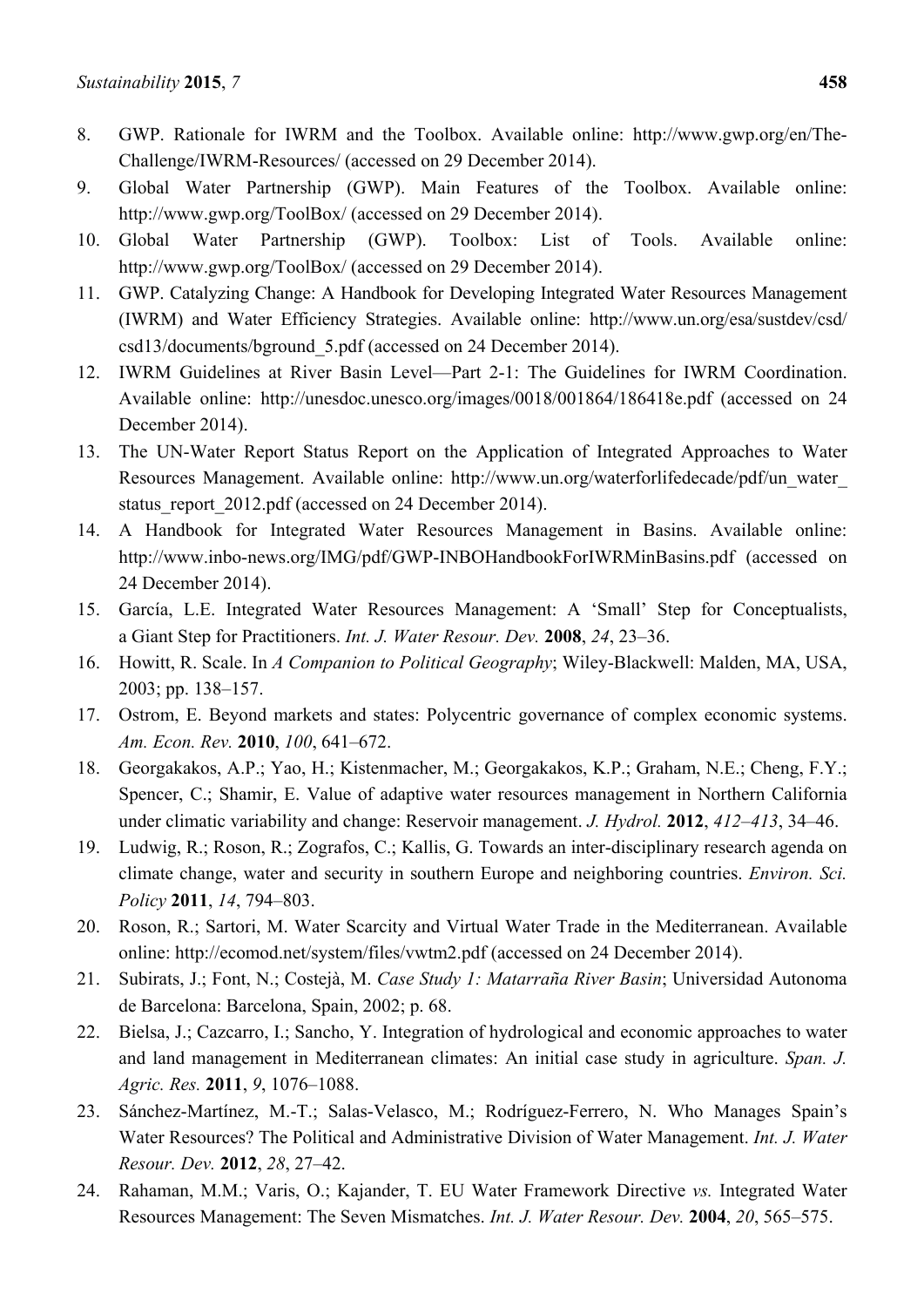- 8. GWP. Rationale for IWRM and the Toolbox. Available online: http://www.gwp.org/en/The-Challenge/IWRM-Resources/ (accessed on 29 December 2014).
- 9. Global Water Partnership (GWP). Main Features of the Toolbox. Available online: http://www.gwp.org/ToolBox/ (accessed on 29 December 2014).
- 10. Global Water Partnership (GWP). Toolbox: List of Tools. Available online: http://www.gwp.org/ToolBox/ (accessed on 29 December 2014).
- 11. GWP. Catalyzing Change: A Handbook for Developing Integrated Water Resources Management (IWRM) and Water Efficiency Strategies. Available online: http://www.un.org/esa/sustdev/csd/ csd13/documents/bground\_5.pdf (accessed on 24 December 2014).
- 12. IWRM Guidelines at River Basin Level—Part 2-1: The Guidelines for IWRM Coordination. Available online: http://unesdoc.unesco.org/images/0018/001864/186418e.pdf (accessed on 24 December 2014).
- 13. The UN-Water Report Status Report on the Application of Integrated Approaches to Water Resources Management. Available online: http://www.un.org/waterforlifedecade/pdf/un\_water\_ status report 2012.pdf (accessed on 24 December 2014).
- 14. A Handbook for Integrated Water Resources Management in Basins. Available online: http://www.inbo-news.org/IMG/pdf/GWP-INBOHandbookForIWRMinBasins.pdf (accessed on 24 December 2014).
- 15. García, L.E. Integrated Water Resources Management: A 'Small' Step for Conceptualists, a Giant Step for Practitioners. *Int. J. Water Resour. Dev.* **2008**, *24*, 23–36.
- 16. Howitt, R. Scale. In *A Companion to Political Geography*; Wiley-Blackwell: Malden, MA, USA, 2003; pp. 138–157.
- 17. Ostrom, E. Beyond markets and states: Polycentric governance of complex economic systems. *Am. Econ. Rev.* **2010**, *100*, 641–672.
- 18. Georgakakos, A.P.; Yao, H.; Kistenmacher, M.; Georgakakos, K.P.; Graham, N.E.; Cheng, F.Y.; Spencer, C.; Shamir, E. Value of adaptive water resources management in Northern California under climatic variability and change: Reservoir management. *J. Hydrol.* **2012**, *412–413*, 34–46.
- 19. Ludwig, R.; Roson, R.; Zografos, C.; Kallis, G. Towards an inter-disciplinary research agenda on climate change, water and security in southern Europe and neighboring countries. *Environ. Sci. Policy* **2011**, *14*, 794–803.
- 20. Roson, R.; Sartori, M. Water Scarcity and Virtual Water Trade in the Mediterranean. Available online: http://ecomod.net/system/files/vwtm2.pdf (accessed on 24 December 2014).
- 21. Subirats, J.; Font, N.; Costejà, M. *Case Study 1: Matarraña River Basin*; Universidad Autonoma de Barcelona: Barcelona, Spain, 2002; p. 68.
- 22. Bielsa, J.; Cazcarro, I.; Sancho, Y. Integration of hydrological and economic approaches to water and land management in Mediterranean climates: An initial case study in agriculture. *Span. J. Agric. Res.* **2011**, *9*, 1076–1088.
- 23. Sánchez-Martínez, M.-T.; Salas-Velasco, M.; Rodríguez-Ferrero, N. Who Manages Spain's Water Resources? The Political and Administrative Division of Water Management. *Int. J. Water Resour. Dev.* **2012**, *28*, 27–42.
- 24. Rahaman, M.M.; Varis, O.; Kajander, T. EU Water Framework Directive *vs.* Integrated Water Resources Management: The Seven Mismatches. *Int. J. Water Resour. Dev.* **2004**, *20*, 565–575.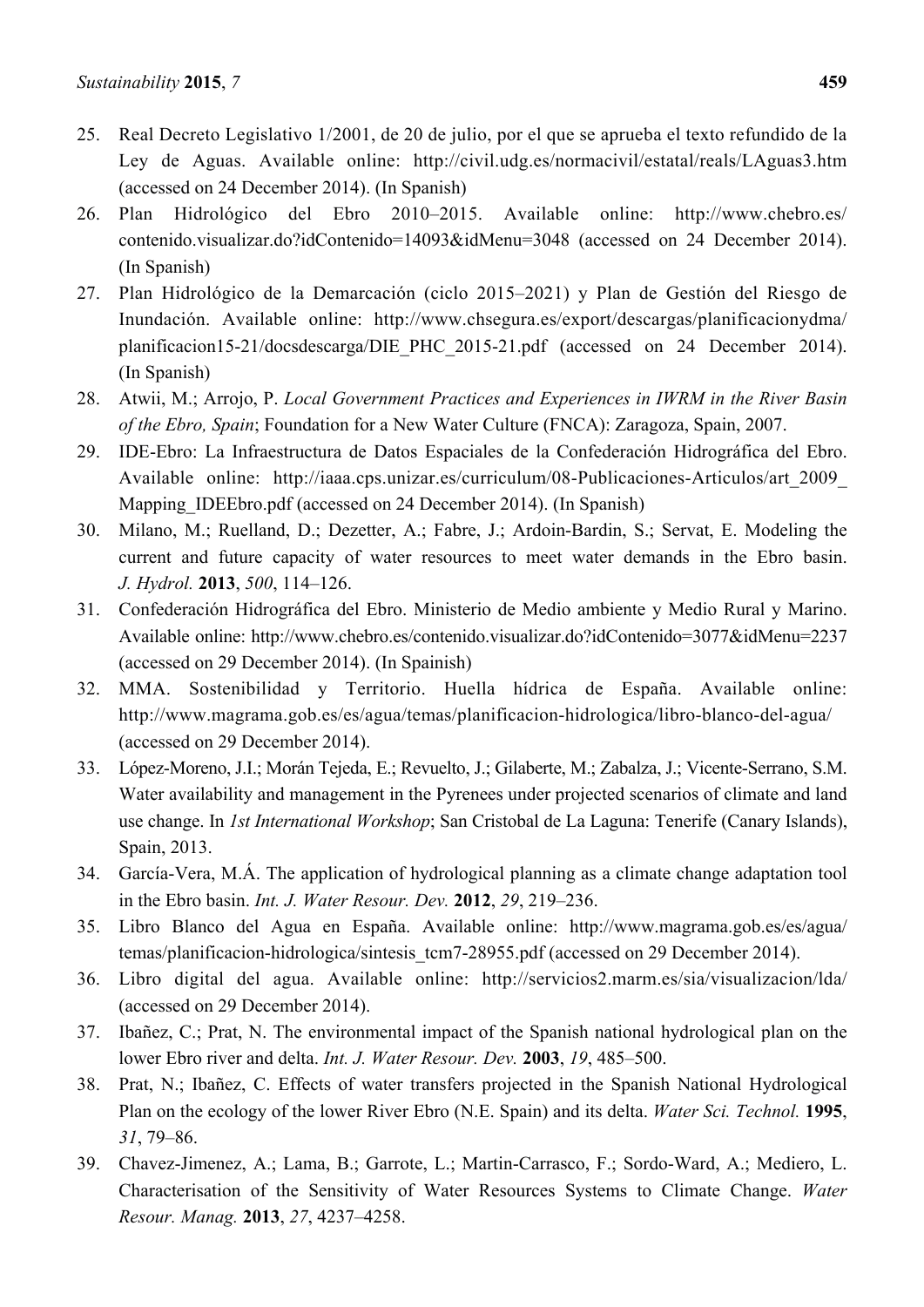- 25. Real Decreto Legislativo 1/2001, de 20 de julio, por el que se aprueba el texto refundido de la Ley de Aguas. Available online: http://civil.udg.es/normacivil/estatal/reals/LAguas3.htm (accessed on 24 December 2014). (In Spanish)
- 26. Plan Hidrológico del Ebro 2010–2015. Available online: http://www.chebro.es/ contenido.visualizar.do?idContenido=14093&idMenu=3048 (accessed on 24 December 2014). (In Spanish)
- 27. Plan Hidrológico de la Demarcación (ciclo 2015–2021) y Plan de Gestión del Riesgo de Inundación. Available online: http://www.chsegura.es/export/descargas/planificacionydma/ planificacion15-21/docsdescarga/DIE\_PHC\_2015-21.pdf (accessed on 24 December 2014). (In Spanish)
- 28. Atwii, M.; Arrojo, P. *Local Government Practices and Experiences in IWRM in the River Basin of the Ebro, Spain*; Foundation for a New Water Culture (FNCA): Zaragoza, Spain, 2007.
- 29. IDE-Ebro: La Infraestructura de Datos Espaciales de la Confederación Hidrográfica del Ebro. Available online: http://iaaa.cps.unizar.es/curriculum/08-Publicaciones-Articulos/art\_2009\_ Mapping IDEEbro.pdf (accessed on 24 December 2014). (In Spanish)
- 30. Milano, M.; Ruelland, D.; Dezetter, A.; Fabre, J.; Ardoin-Bardin, S.; Servat, E. Modeling the current and future capacity of water resources to meet water demands in the Ebro basin. *J. Hydrol.* **2013**, *500*, 114–126.
- 31. Confederación Hidrográfica del Ebro. Ministerio de Medio ambiente y Medio Rural y Marino. Available online: http://www.chebro.es/contenido.visualizar.do?idContenido=3077&idMenu=2237 (accessed on 29 December 2014). (In Spainish)
- 32. MMA. Sostenibilidad y Territorio. Huella hídrica de España. Available online: http://www.magrama.gob.es/es/agua/temas/planificacion-hidrologica/libro-blanco-del-agua/ (accessed on 29 December 2014).
- 33. López-Moreno, J.I.; Morán Tejeda, E.; Revuelto, J.; Gilaberte, M.; Zabalza, J.; Vicente-Serrano, S.M. Water availability and management in the Pyrenees under projected scenarios of climate and land use change. In *1st International Workshop*; San Cristobal de La Laguna: Tenerife (Canary Islands), Spain, 2013.
- 34. García-Vera, M.Á. The application of hydrological planning as a climate change adaptation tool in the Ebro basin. *Int. J. Water Resour. Dev.* **2012**, *29*, 219–236.
- 35. Libro Blanco del Agua en España. Available online: http://www.magrama.gob.es/es/agua/ temas/planificacion-hidrologica/sintesis\_tcm7-28955.pdf (accessed on 29 December 2014).
- 36. Libro digital del agua. Available online: http://servicios2.marm.es/sia/visualizacion/lda/ (accessed on 29 December 2014).
- 37. Ibañez, C.; Prat, N. The environmental impact of the Spanish national hydrological plan on the lower Ebro river and delta. *Int. J. Water Resour. Dev.* **2003**, *19*, 485–500.
- 38. Prat, N.; Ibañez, C. Effects of water transfers projected in the Spanish National Hydrological Plan on the ecology of the lower River Ebro (N.E. Spain) and its delta. *Water Sci. Technol.* **1995**, *31*, 79–86.
- 39. Chavez-Jimenez, A.; Lama, B.; Garrote, L.; Martin-Carrasco, F.; Sordo-Ward, A.; Mediero, L. Characterisation of the Sensitivity of Water Resources Systems to Climate Change. *Water Resour. Manag.* **2013**, *27*, 4237–4258.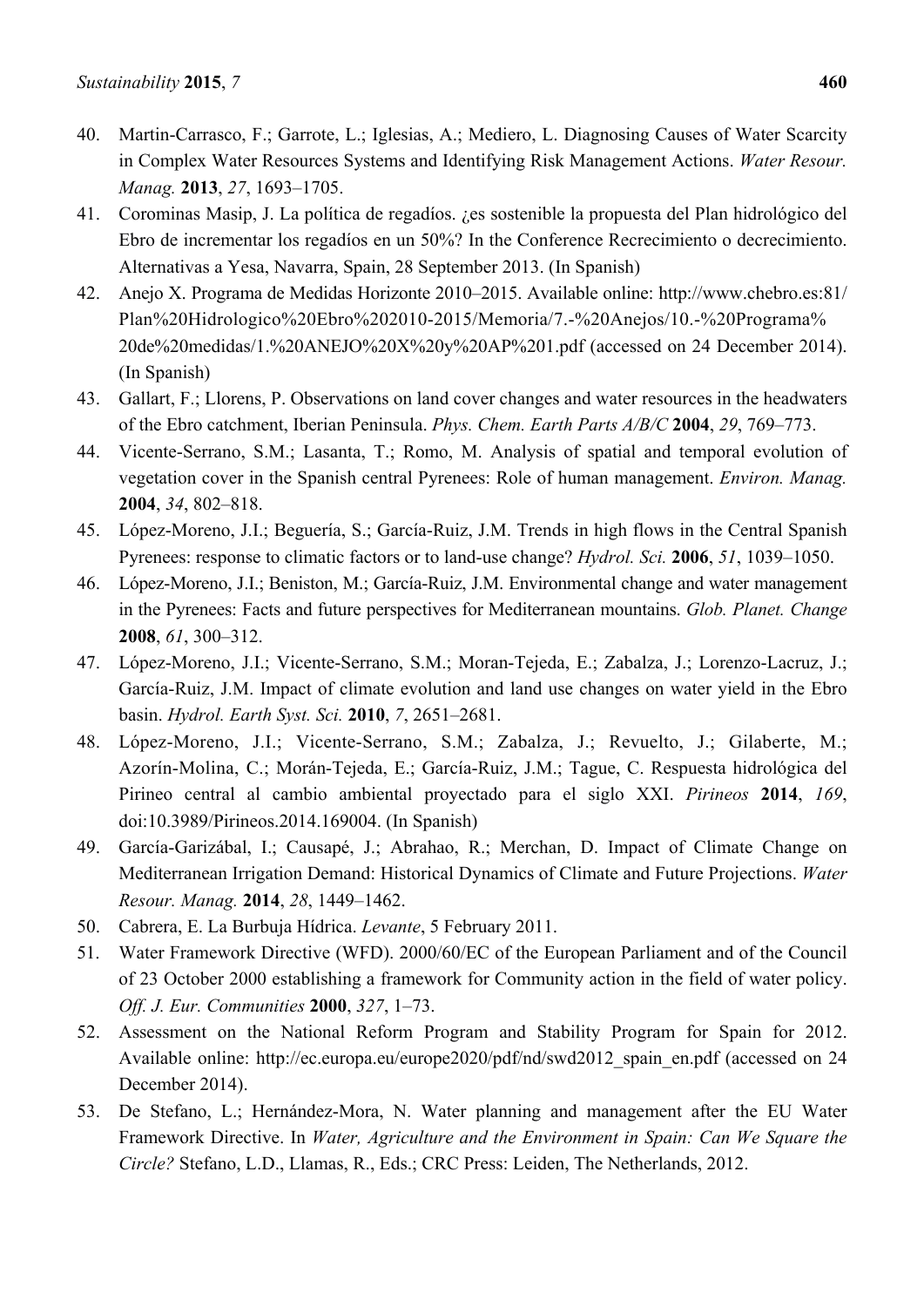- 40. Martin-Carrasco, F.; Garrote, L.; Iglesias, A.; Mediero, L. Diagnosing Causes of Water Scarcity in Complex Water Resources Systems and Identifying Risk Management Actions. *Water Resour. Manag.* **2013**, *27*, 1693–1705.
- 41. Corominas Masip, J. La política de regadíos. ¿es sostenible la propuesta del Plan hidrológico del Ebro de incrementar los regadíos en un 50%? In the Conference Recrecimiento o decrecimiento. Alternativas a Yesa, Navarra, Spain, 28 September 2013. (In Spanish)
- 42. Anejo X. Programa de Medidas Horizonte 2010–2015. Available online: http://www.chebro.es:81/ Plan%20Hidrologico%20Ebro%202010-2015/Memoria/7.-%20Anejos/10.-%20Programa% 20de%20medidas/1.%20ANEJO%20X%20y%20AP%201.pdf (accessed on 24 December 2014). (In Spanish)
- 43. Gallart, F.; Llorens, P. Observations on land cover changes and water resources in the headwaters of the Ebro catchment, Iberian Peninsula. *Phys. Chem. Earth Parts A/B/C* **2004**, *29*, 769–773.
- 44. Vicente-Serrano, S.M.; Lasanta, T.; Romo, M. Analysis of spatial and temporal evolution of vegetation cover in the Spanish central Pyrenees: Role of human management. *Environ. Manag.*  **2004**, *34*, 802–818.
- 45. López-Moreno, J.I.; Beguería, S.; García-Ruiz, J.M. Trends in high flows in the Central Spanish Pyrenees: response to climatic factors or to land-use change? *Hydrol. Sci.* **2006**, *51*, 1039–1050.
- 46. López-Moreno, J.I.; Beniston, M.; García-Ruiz, J.M. Environmental change and water management in the Pyrenees: Facts and future perspectives for Mediterranean mountains. *Glob. Planet. Change*  **2008**, *61*, 300–312.
- 47. López-Moreno, J.I.; Vicente-Serrano, S.M.; Moran-Tejeda, E.; Zabalza, J.; Lorenzo-Lacruz, J.; García-Ruiz, J.M. Impact of climate evolution and land use changes on water yield in the Ebro basin. *Hydrol. Earth Syst. Sci.* **2010**, *7*, 2651–2681.
- 48. López-Moreno, J.I.; Vicente-Serrano, S.M.; Zabalza, J.; Revuelto, J.; Gilaberte, M.; Azorín-Molina, C.; Morán-Tejeda, E.; García-Ruiz, J.M.; Tague, C. Respuesta hidrológica del Pirineo central al cambio ambiental proyectado para el siglo XXI. *Pirineos* **2014**, *169*, doi:10.3989/Pirineos.2014.169004. (In Spanish)
- 49. García-Garizábal, I.; Causapé, J.; Abrahao, R.; Merchan, D. Impact of Climate Change on Mediterranean Irrigation Demand: Historical Dynamics of Climate and Future Projections. *Water Resour. Manag.* **2014**, *28*, 1449–1462.
- 50. Cabrera, E. La Burbuja Hídrica. *Levante*, 5 February 2011.
- 51. Water Framework Directive (WFD). 2000/60/EC of the European Parliament and of the Council of 23 October 2000 establishing a framework for Community action in the field of water policy. *Off. J. Eur. Communities* **2000**, *327*, 1–73.
- 52. Assessment on the National Reform Program and Stability Program for Spain for 2012. Available online: http://ec.europa.eu/europe2020/pdf/nd/swd2012 spain en.pdf (accessed on 24 December 2014).
- 53. De Stefano, L.; Hernández-Mora, N. Water planning and management after the EU Water Framework Directive. In *Water, Agriculture and the Environment in Spain: Can We Square the Circle?* Stefano, L.D., Llamas, R., Eds.; CRC Press: Leiden, The Netherlands, 2012.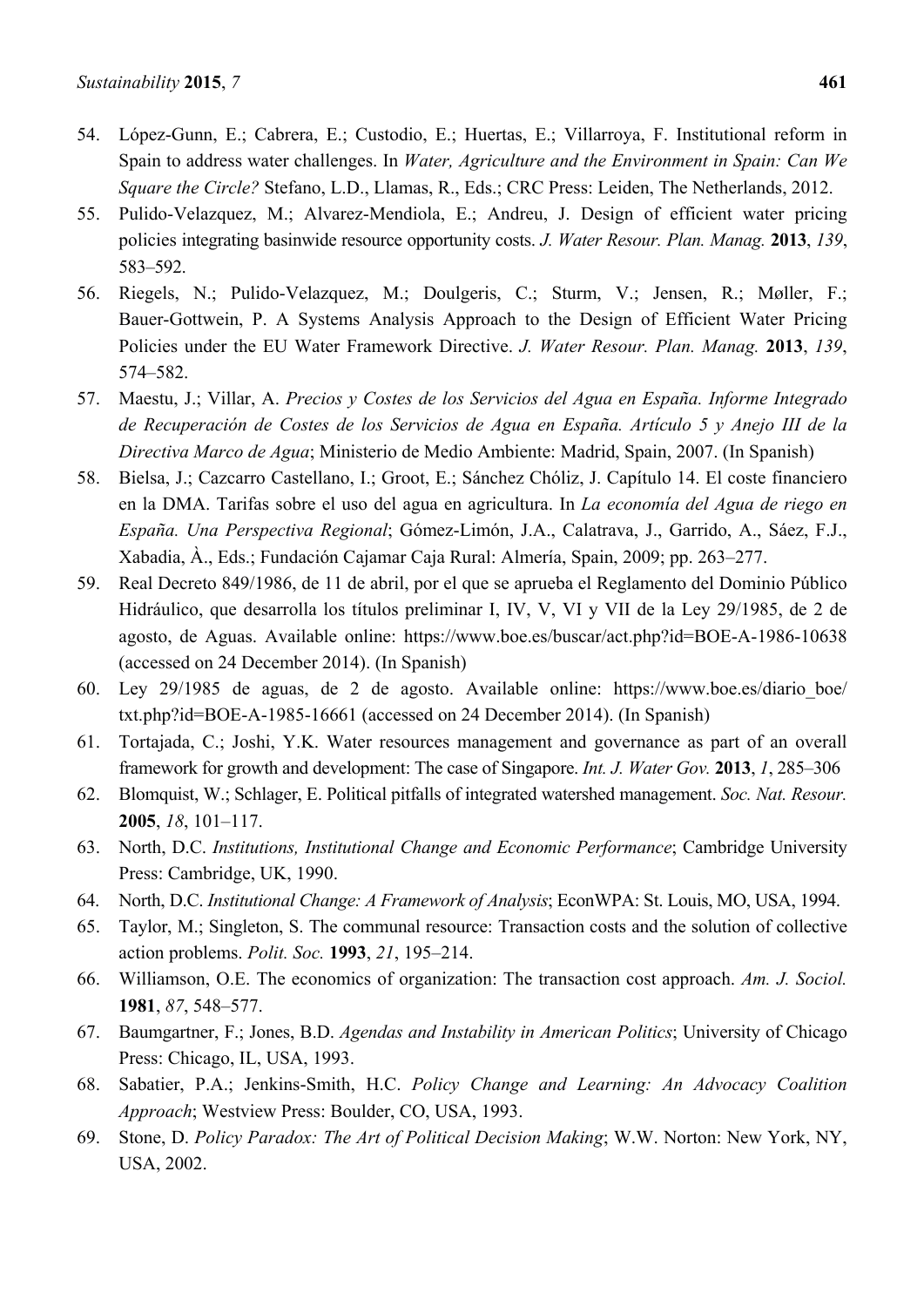- 54. López-Gunn, E.; Cabrera, E.; Custodio, E.; Huertas, E.; Villarroya, F. Institutional reform in Spain to address water challenges. In *Water, Agriculture and the Environment in Spain: Can We Square the Circle?* Stefano, L.D., Llamas, R., Eds.; CRC Press: Leiden, The Netherlands, 2012.
- 55. Pulido-Velazquez, M.; Alvarez-Mendiola, E.; Andreu, J. Design of efficient water pricing policies integrating basinwide resource opportunity costs. *J. Water Resour. Plan. Manag.* **2013**, *139*, 583–592.
- 56. Riegels, N.; Pulido-Velazquez, M.; Doulgeris, C.; Sturm, V.; Jensen, R.; Møller, F.; Bauer-Gottwein, P. A Systems Analysis Approach to the Design of Efficient Water Pricing Policies under the EU Water Framework Directive. *J. Water Resour. Plan. Manag.* **2013**, *139*, 574–582.
- 57. Maestu, J.; Villar, A. *Precios y Costes de los Servicios del Agua en España. Informe Integrado de Recuperación de Costes de los Servicios de Agua en España. Artículo 5 y Anejo III de la Directiva Marco de Agua*; Ministerio de Medio Ambiente: Madrid, Spain, 2007. (In Spanish)
- 58. Bielsa, J.; Cazcarro Castellano, I.; Groot, E.; Sánchez Chóliz, J. Capítulo 14. El coste financiero en la DMA. Tarifas sobre el uso del agua en agricultura. In *La economía del Agua de riego en España. Una Perspectiva Regional*; Gómez-Limón, J.A., Calatrava, J., Garrido, A., Sáez, F.J., Xabadia, À., Eds.; Fundación Cajamar Caja Rural: Almería, Spain, 2009; pp. 263–277.
- 59. Real Decreto 849/1986, de 11 de abril, por el que se aprueba el Reglamento del Dominio Público Hidráulico, que desarrolla los títulos preliminar I, IV, V, VI y VII de la Ley 29/1985, de 2 de agosto, de Aguas. Available online: https://www.boe.es/buscar/act.php?id=BOE-A-1986-10638 (accessed on 24 December 2014). (In Spanish)
- 60. Ley 29/1985 de aguas, de 2 de agosto. Available online: https://www.boe.es/diario\_boe/ txt.php?id=BOE-A-1985-16661 (accessed on 24 December 2014). (In Spanish)
- 61. Tortajada, C.; Joshi, Y.K. Water resources management and governance as part of an overall framework for growth and development: The case of Singapore. *Int. J. Water Gov.* **2013**, *1*, 285–306
- 62. Blomquist, W.; Schlager, E. Political pitfalls of integrated watershed management. *Soc. Nat. Resour.*  **2005**, *18*, 101–117.
- 63. North, D.C. *Institutions, Institutional Change and Economic Performance*; Cambridge University Press: Cambridge, UK, 1990.
- 64. North, D.C. *Institutional Change: A Framework of Analysis*; EconWPA: St. Louis, MO, USA, 1994.
- 65. Taylor, M.; Singleton, S. The communal resource: Transaction costs and the solution of collective action problems. *Polit. Soc.* **1993**, *21*, 195–214.
- 66. Williamson, O.E. The economics of organization: The transaction cost approach. *Am. J. Sociol.*  **1981**, *87*, 548–577.
- 67. Baumgartner, F.; Jones, B.D. *Agendas and Instability in American Politics*; University of Chicago Press: Chicago, IL, USA, 1993.
- 68. Sabatier, P.A.; Jenkins-Smith, H.C. *Policy Change and Learning: An Advocacy Coalition Approach*; Westview Press: Boulder, CO, USA, 1993.
- 69. Stone, D. *Policy Paradox: The Art of Political Decision Making*; W.W. Norton: New York, NY, USA, 2002.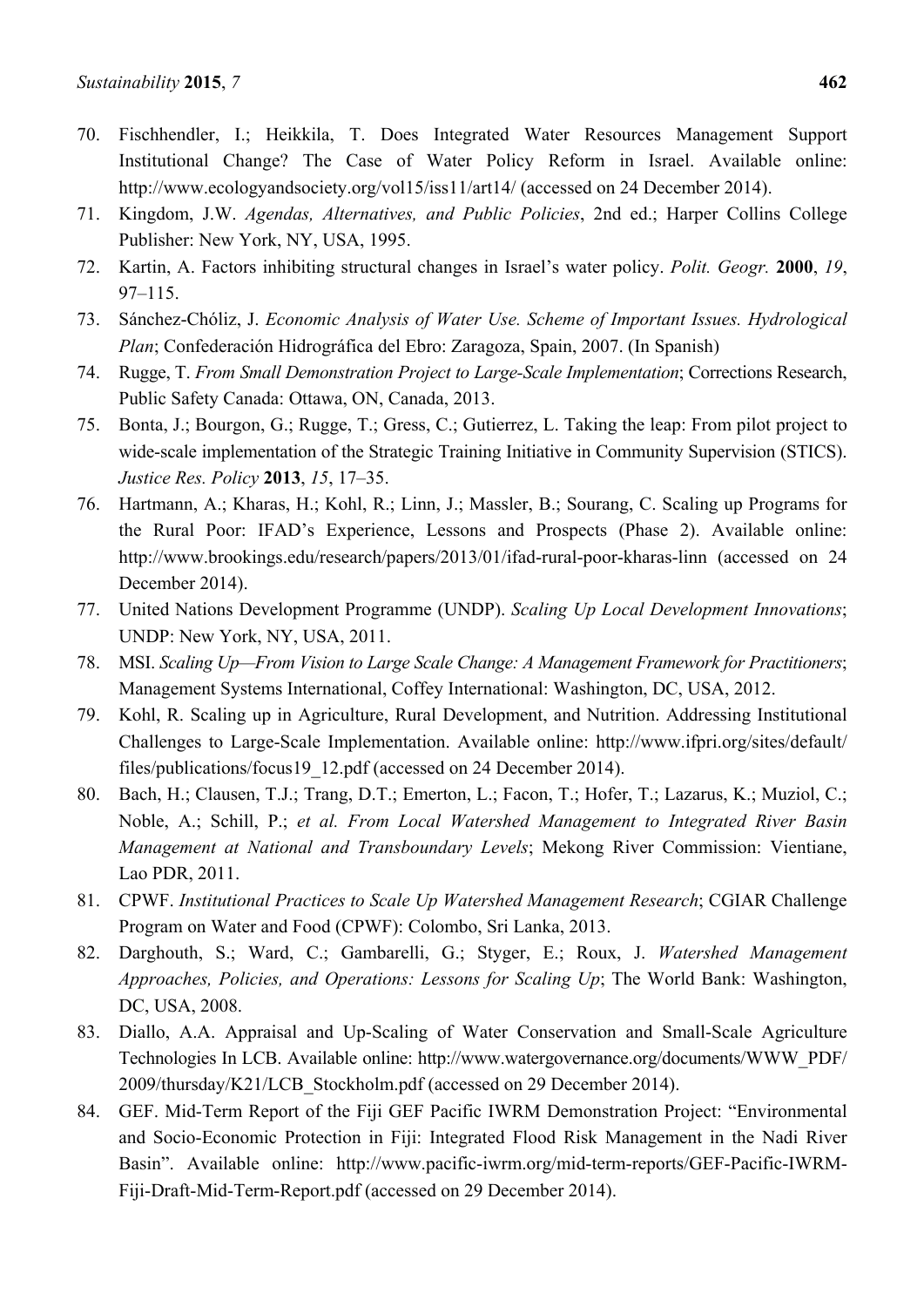- 70. Fischhendler, I.; Heikkila, T. Does Integrated Water Resources Management Support Institutional Change? The Case of Water Policy Reform in Israel. Available online: http://www.ecologyandsociety.org/vol15/iss11/art14/ (accessed on 24 December 2014).
- 71. Kingdom, J.W. *Agendas, Alternatives, and Public Policies*, 2nd ed.; Harper Collins College Publisher: New York, NY, USA, 1995.
- 72. Kartin, A. Factors inhibiting structural changes in Israel's water policy. *Polit. Geogr.* **2000**, *19*, 97–115.
- 73. Sánchez-Chóliz, J. *Economic Analysis of Water Use. Scheme of Important Issues. Hydrological Plan*; Confederación Hidrográfica del Ebro: Zaragoza, Spain, 2007. (In Spanish)
- 74. Rugge, T. *From Small Demonstration Project to Large-Scale Implementation*; Corrections Research, Public Safety Canada: Ottawa, ON, Canada, 2013.
- 75. Bonta, J.; Bourgon, G.; Rugge, T.; Gress, C.; Gutierrez, L. Taking the leap: From pilot project to wide-scale implementation of the Strategic Training Initiative in Community Supervision (STICS). *Justice Res. Policy* **2013**, *15*, 17–35.
- 76. Hartmann, A.; Kharas, H.; Kohl, R.; Linn, J.; Massler, B.; Sourang, C. Scaling up Programs for the Rural Poor: IFAD's Experience, Lessons and Prospects (Phase 2). Available online: http://www.brookings.edu/research/papers/2013/01/ifad-rural-poor-kharas-linn (accessed on 24 December 2014).
- 77. United Nations Development Programme (UNDP). *Scaling Up Local Development Innovations*; UNDP: New York, NY, USA, 2011.
- 78. MSI. *Scaling Up—From Vision to Large Scale Change: A Management Framework for Practitioners*; Management Systems International, Coffey International: Washington, DC, USA, 2012.
- 79. Kohl, R. Scaling up in Agriculture, Rural Development, and Nutrition. Addressing Institutional Challenges to Large-Scale Implementation. Available online: http://www.ifpri.org/sites/default/ files/publications/focus19 12.pdf (accessed on 24 December 2014).
- 80. Bach, H.; Clausen, T.J.; Trang, D.T.; Emerton, L.; Facon, T.; Hofer, T.; Lazarus, K.; Muziol, C.; Noble, A.; Schill, P.; *et al. From Local Watershed Management to Integrated River Basin Management at National and Transboundary Levels*; Mekong River Commission: Vientiane, Lao PDR, 2011.
- 81. CPWF. *Institutional Practices to Scale Up Watershed Management Research*; CGIAR Challenge Program on Water and Food (CPWF): Colombo, Sri Lanka, 2013.
- 82. Darghouth, S.; Ward, C.; Gambarelli, G.; Styger, E.; Roux, J. *Watershed Management Approaches, Policies, and Operations: Lessons for Scaling Up*; The World Bank: Washington, DC, USA, 2008.
- 83. Diallo, A.A. Appraisal and Up-Scaling of Water Conservation and Small-Scale Agriculture Technologies In LCB. Available online: http://www.watergovernance.org/documents/WWW\_PDF/ 2009/thursday/K21/LCB\_Stockholm.pdf (accessed on 29 December 2014).
- 84. GEF. Mid-Term Report of the Fiji GEF Pacific IWRM Demonstration Project: "Environmental and Socio-Economic Protection in Fiji: Integrated Flood Risk Management in the Nadi River Basin". Available online: http://www.pacific-iwrm.org/mid-term-reports/GEF-Pacific-IWRM-Fiji-Draft-Mid-Term-Report.pdf (accessed on 29 December 2014).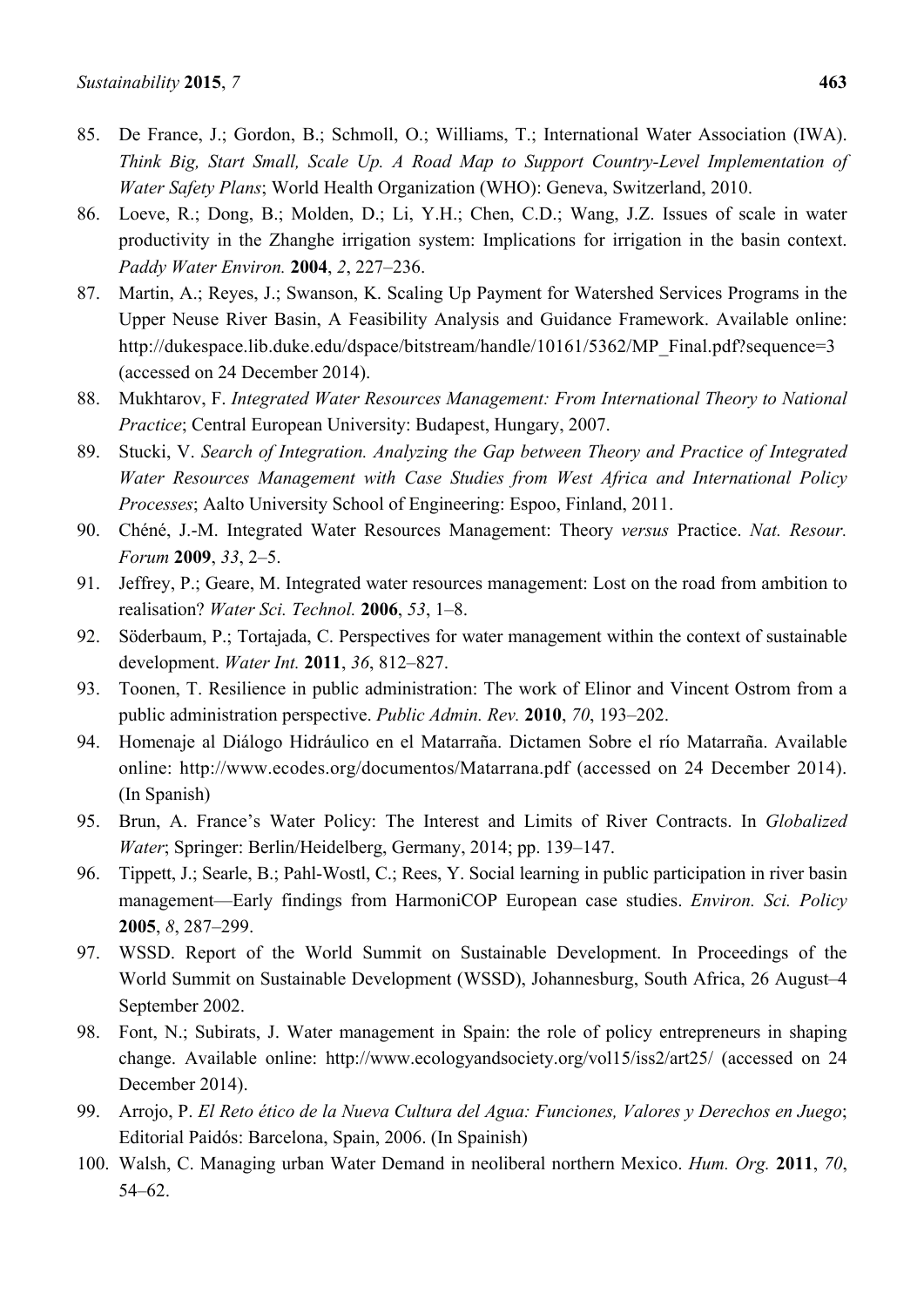- 85. De France, J.; Gordon, B.; Schmoll, O.; Williams, T.; International Water Association (IWA). *Think Big, Start Small, Scale Up. A Road Map to Support Country-Level Implementation of Water Safety Plans*; World Health Organization (WHO): Geneva, Switzerland, 2010.
- 86. Loeve, R.; Dong, B.; Molden, D.; Li, Y.H.; Chen, C.D.; Wang, J.Z. Issues of scale in water productivity in the Zhanghe irrigation system: Implications for irrigation in the basin context. *Paddy Water Environ.* **2004**, *2*, 227–236.
- 87. Martin, A.; Reyes, J.; Swanson, K. Scaling Up Payment for Watershed Services Programs in the Upper Neuse River Basin, A Feasibility Analysis and Guidance Framework. Available online: http://dukespace.lib.duke.edu/dspace/bitstream/handle/10161/5362/MP\_Final.pdf?sequence=3 (accessed on 24 December 2014).
- 88. Mukhtarov, F. *Integrated Water Resources Management: From International Theory to National Practice*; Central European University: Budapest, Hungary, 2007.
- 89. Stucki, V. *Search of Integration. Analyzing the Gap between Theory and Practice of Integrated Water Resources Management with Case Studies from West Africa and International Policy Processes*; Aalto University School of Engineering: Espoo, Finland, 2011.
- 90. Chéné, J.-M. Integrated Water Resources Management: Theory *versus* Practice. *Nat. Resour. Forum* **2009**, *33*, 2–5.
- 91. Jeffrey, P.; Geare, M. Integrated water resources management: Lost on the road from ambition to realisation? *Water Sci. Technol.* **2006**, *53*, 1–8.
- 92. Söderbaum, P.; Tortajada, C. Perspectives for water management within the context of sustainable development. *Water Int.* **2011**, *36*, 812–827.
- 93. Toonen, T. Resilience in public administration: The work of Elinor and Vincent Ostrom from a public administration perspective. *Public Admin. Rev.* **2010**, *70*, 193–202.
- 94. Homenaje al Diálogo Hidráulico en el Matarraña. Dictamen Sobre el río Matarraña. Available online: http://www.ecodes.org/documentos/Matarrana.pdf (accessed on 24 December 2014). (In Spanish)
- 95. Brun, A. France's Water Policy: The Interest and Limits of River Contracts. In *Globalized Water*; Springer: Berlin/Heidelberg, Germany, 2014; pp. 139–147.
- 96. Tippett, J.; Searle, B.; Pahl-Wostl, C.; Rees, Y. Social learning in public participation in river basin management—Early findings from HarmoniCOP European case studies. *Environ. Sci. Policy*  **2005**, *8*, 287–299.
- 97. WSSD. Report of the World Summit on Sustainable Development. In Proceedings of the World Summit on Sustainable Development (WSSD), Johannesburg, South Africa, 26 August–4 September 2002.
- 98. Font, N.; Subirats, J. Water management in Spain: the role of policy entrepreneurs in shaping change. Available online: http://www.ecologyandsociety.org/vol15/iss2/art25/ (accessed on 24 December 2014).
- 99. Arrojo, P. *El Reto ético de la Nueva Cultura del Agua: Funciones, Valores y Derechos en Juego*; Editorial Paidós: Barcelona, Spain, 2006. (In Spainish)
- 100. Walsh, C. Managing urban Water Demand in neoliberal northern Mexico. *Hum. Org.* **2011**, *70*, 54–62.